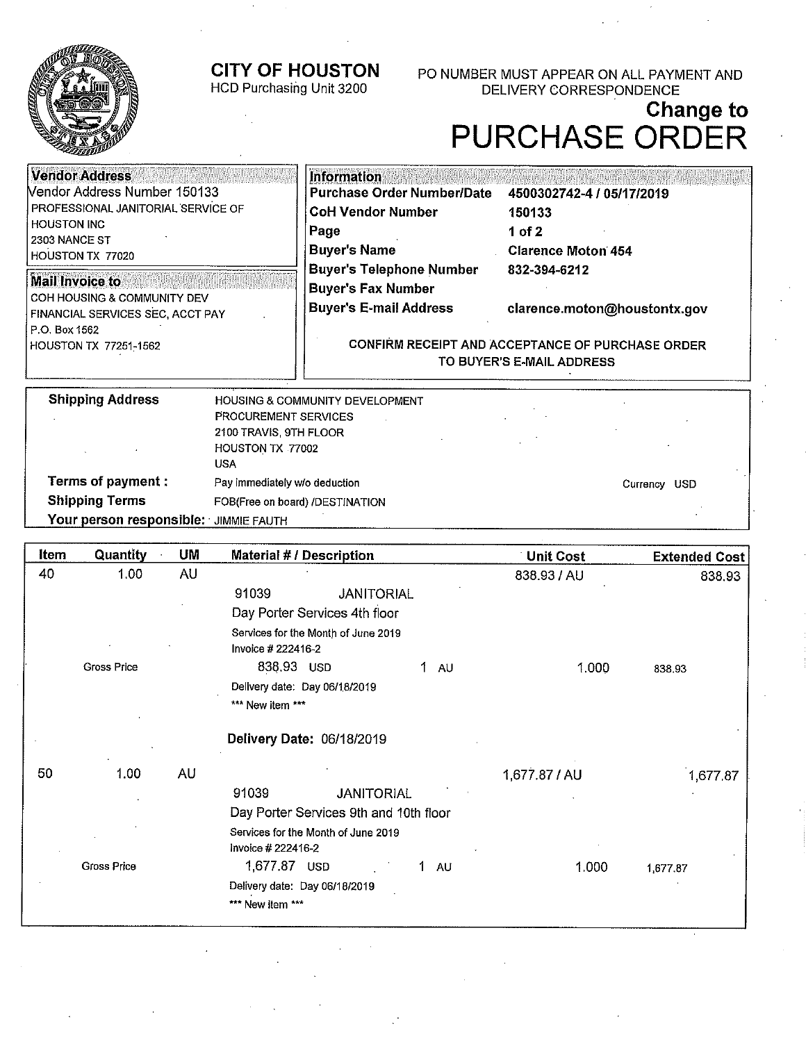# **CITY OF HOUSTON**



## HCD Purchasing Unit 3200

PO NUMBER MUST APPEAR ON ALL PAYMENT AND DELIVERY CORRESPONDENCE

# **Change to PURCHASE ORDER**

| <b>Vendor Address</b>                                                  | <b>Information</b>                                                            |                              |
|------------------------------------------------------------------------|-------------------------------------------------------------------------------|------------------------------|
| Vendor Address Number 150133                                           | <b>Purchase Order Number/Date</b>                                             | 4500302742-4 / 05/17/2019    |
| <b>PROFESSIONAL JANITORIAL SERVICE OF</b>                              | <b>CoH Vendor Number</b>                                                      | 150133                       |
| <b>HOUSTON INC</b>                                                     | Page                                                                          | 1 of 2                       |
| 2303 NANCE ST<br>HOUSTON TX 77020                                      | <b>Buyer's Name</b>                                                           | <b>Clarence Moton 454</b>    |
|                                                                        | <b>Buyer's Telephone Number</b>                                               | 832-394-6212                 |
| <b>Mail Invoice to</b>                                                 | <b>Buyer's Fax Number</b>                                                     |                              |
| COH HOUSING & COMMUNITY DEV<br><b>FINANCIAL SERVICES SEC, ACCT PAY</b> | <b>Buyer's E-mail Address</b>                                                 | clarence.moton@houstontx.gov |
| P.O. Box 1562<br>HOUSTON TX 77251-1562                                 | CONFIRM RECEIPT AND ACCEPTANCE OF PURCHASE ORDER<br>TO BUYER'S E-MAIL ADDRESS |                              |
|                                                                        |                                                                               |                              |

| <b>Shipping Address</b>               | <b>HOUSING &amp; COMMUNITY DEVELOPMENT</b> |                  |
|---------------------------------------|--------------------------------------------|------------------|
|                                       | <b>PROCUREMENT SERVICES</b>                |                  |
|                                       | 2100 TRAVIS, 9TH FLOOR                     |                  |
|                                       | HOUSTON TX 77002                           |                  |
|                                       | USA                                        |                  |
| <b>Terms of payment:</b>              | Pay immediately w/o deduction              | USD.<br>Currency |
| <b>Shipping Terms</b>                 | FOB(Free on board) /DESTINATION            |                  |
| Your person responsible: JIMMIE FAUTH |                                            |                  |

| 40 | 1.00               |           |                                                           |               | <b>Extended Cost</b> |
|----|--------------------|-----------|-----------------------------------------------------------|---------------|----------------------|
|    |                    | <b>AU</b> |                                                           | 838.93 / AU   | 838.93               |
|    |                    |           | <b>JANITORIAL</b><br>91039                                |               |                      |
|    |                    |           | Day Porter Services 4th floor                             |               |                      |
|    |                    |           | Services for the Month of June 2019<br>Invoice # 222416-2 |               |                      |
|    | Gross Price        |           | 838.93 USD<br>1.<br><b>AU</b>                             | 1.000         | 838.93               |
|    |                    |           | Delivery date: Day 06/18/2019                             |               |                      |
|    |                    |           | *** New item ***                                          |               |                      |
|    |                    |           | Delivery Date: 06/18/2019                                 |               |                      |
| 50 | 1.00               | AU        |                                                           | 1,677.87 / AU | 1,677.87             |
|    |                    |           | 91039<br><b>JANITORIAL</b>                                |               |                      |
|    |                    |           | Day Porter Services 9th and 10th floor                    |               |                      |
|    |                    |           | Services for the Month of June 2019<br>Invoice # 222416-2 |               |                      |
|    | <b>Gross Price</b> |           | 1,677.87 USD<br>1.<br><b>AU</b>                           | 1.000         | 1,677.87             |
|    |                    |           | Delivery date: Day 06/18/2019<br>*** New item ***         |               |                      |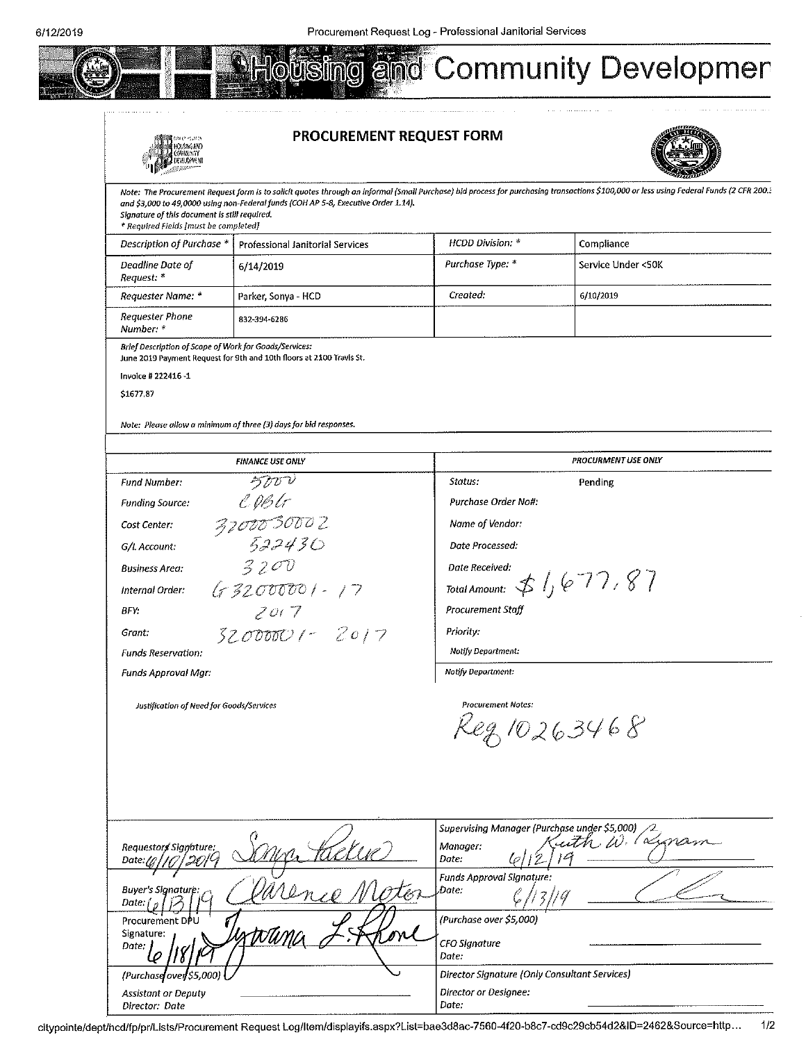



**Assistant or Deputy** Director: Date

#### PROCUREMENT REQUEST FORM

SING



| THE STATE OF THE PARTY OF THE TABLE                                                    |                                                                                    |                                                                                                                                                                                                                                                                                                |                                                                                                                                                                                         |
|----------------------------------------------------------------------------------------|------------------------------------------------------------------------------------|------------------------------------------------------------------------------------------------------------------------------------------------------------------------------------------------------------------------------------------------------------------------------------------------|-----------------------------------------------------------------------------------------------------------------------------------------------------------------------------------------|
| Signature of this document is still required.<br>* Required Fields [must be completed] | and \$3,000 to 49,0000 using non-Federal funds (COH AP 5-8, Executive Order 1.14). |                                                                                                                                                                                                                                                                                                | Note: The Procurement Request form is to solicit quotes through an informal (Small Purchase) bid process for purchasing transactions \$100,000 or less using Federal Funds (2 CFR 200.: |
| Description of Purchase *                                                              | Professional Janitorial Services                                                   | HCDD Division: *                                                                                                                                                                                                                                                                               | Compliance                                                                                                                                                                              |
| Deadline Date of<br>Request: *                                                         | 6/14/2019                                                                          | Purchase Type: *                                                                                                                                                                                                                                                                               | Service Under <50K                                                                                                                                                                      |
| Requester Name: *                                                                      | Parker, Sonya - HCD                                                                | Created:                                                                                                                                                                                                                                                                                       | 6/10/2019                                                                                                                                                                               |
| Requester Phone<br>Number: *                                                           | 832-394-6286                                                                       |                                                                                                                                                                                                                                                                                                |                                                                                                                                                                                         |
| Brief Description of Scope of Work for Goods/Services:                                 | June 2019 Payment Request for 9th and 10th floors at 2100 Travis St.               |                                                                                                                                                                                                                                                                                                |                                                                                                                                                                                         |
| Invoice # 222416-1                                                                     |                                                                                    |                                                                                                                                                                                                                                                                                                |                                                                                                                                                                                         |
| \$1677.87                                                                              |                                                                                    |                                                                                                                                                                                                                                                                                                |                                                                                                                                                                                         |
|                                                                                        | Note: Please allow a minimum of three (3) days for bid responses.                  |                                                                                                                                                                                                                                                                                                |                                                                                                                                                                                         |
|                                                                                        |                                                                                    |                                                                                                                                                                                                                                                                                                |                                                                                                                                                                                         |
|                                                                                        | <b>FINANCE USE ONLY</b>                                                            |                                                                                                                                                                                                                                                                                                | <b>PROCURMENT USE ONLY</b>                                                                                                                                                              |
| Fund Number:                                                                           | うなび                                                                                | Status:                                                                                                                                                                                                                                                                                        | Pending                                                                                                                                                                                 |
| <b>Funding Source:</b>                                                                 | CDBlr                                                                              | Purchase Order No#:                                                                                                                                                                                                                                                                            |                                                                                                                                                                                         |
| Cost Center:                                                                           |                                                                                    | Name of Vendor:                                                                                                                                                                                                                                                                                |                                                                                                                                                                                         |
| G/L Account:                                                                           | 3700030002<br>522430                                                               | Date Processed:                                                                                                                                                                                                                                                                                |                                                                                                                                                                                         |
| <b>Business Area:</b>                                                                  | 3200                                                                               | Date Received:                                                                                                                                                                                                                                                                                 |                                                                                                                                                                                         |
| Internal Order:                                                                        | $632000001 - 17$                                                                   | Total Amount: $\oint$ $\int$ $\oint$ $\bigg $ $\bigg $ $\bigg $ $\bigg $ $\bigg $ $\bigg $ $\bigg $ $\bigg $ $\bigg $ $\bigg $ $\bigg $ $\bigg $ $\bigg $ $\bigg $ $\bigg $ $\bigg $ $\bigg $ $\bigg $ $\bigg $ $\bigg $ $\bigg $ $\bigg $ $\bigg $ $\bigg $ $\bigg $ $\bigg $ $\bigg $ $\big$ |                                                                                                                                                                                         |
| BFY.                                                                                   | 2017                                                                               | <b>Procurement Staff</b>                                                                                                                                                                                                                                                                       |                                                                                                                                                                                         |
| Grant:                                                                                 | $32000001 - 2017$                                                                  | Priority:                                                                                                                                                                                                                                                                                      |                                                                                                                                                                                         |
| <b>Funas Reservation:</b>                                                              |                                                                                    | Notify Department:                                                                                                                                                                                                                                                                             |                                                                                                                                                                                         |
| Funds Approval Mgr:                                                                    |                                                                                    | Notify Department:                                                                                                                                                                                                                                                                             |                                                                                                                                                                                         |
|                                                                                        |                                                                                    |                                                                                                                                                                                                                                                                                                |                                                                                                                                                                                         |
| Justification of Need for Goods/Services                                               |                                                                                    | <b>Procurement Notes:</b>                                                                                                                                                                                                                                                                      |                                                                                                                                                                                         |
|                                                                                        |                                                                                    | 'eg 10263468                                                                                                                                                                                                                                                                                   |                                                                                                                                                                                         |
|                                                                                        |                                                                                    |                                                                                                                                                                                                                                                                                                |                                                                                                                                                                                         |
|                                                                                        |                                                                                    |                                                                                                                                                                                                                                                                                                |                                                                                                                                                                                         |
|                                                                                        |                                                                                    |                                                                                                                                                                                                                                                                                                |                                                                                                                                                                                         |
|                                                                                        |                                                                                    |                                                                                                                                                                                                                                                                                                |                                                                                                                                                                                         |
| Requestors Signature:<br>Date: $\ell$                                                  |                                                                                    | Supervising Manager (Purchase under \$5,000)<br>Manager:<br>Date:                                                                                                                                                                                                                              | $\omega$ . (a                                                                                                                                                                           |
| <b>Buyer's Signature:</b><br>Date:                                                     |                                                                                    | <b>Funds Approval Signature:</b><br>Date:                                                                                                                                                                                                                                                      |                                                                                                                                                                                         |
| Procurement DPU                                                                        |                                                                                    | (Purchase over \$5,000)                                                                                                                                                                                                                                                                        |                                                                                                                                                                                         |
| Signature:                                                                             |                                                                                    | CFO Signature                                                                                                                                                                                                                                                                                  |                                                                                                                                                                                         |
| Date:                                                                                  |                                                                                    | Date:                                                                                                                                                                                                                                                                                          |                                                                                                                                                                                         |
| (Purchase                                                                              |                                                                                    | Director Sianature (Only Consultant Services)                                                                                                                                                                                                                                                  |                                                                                                                                                                                         |

Director or Designee:

Date: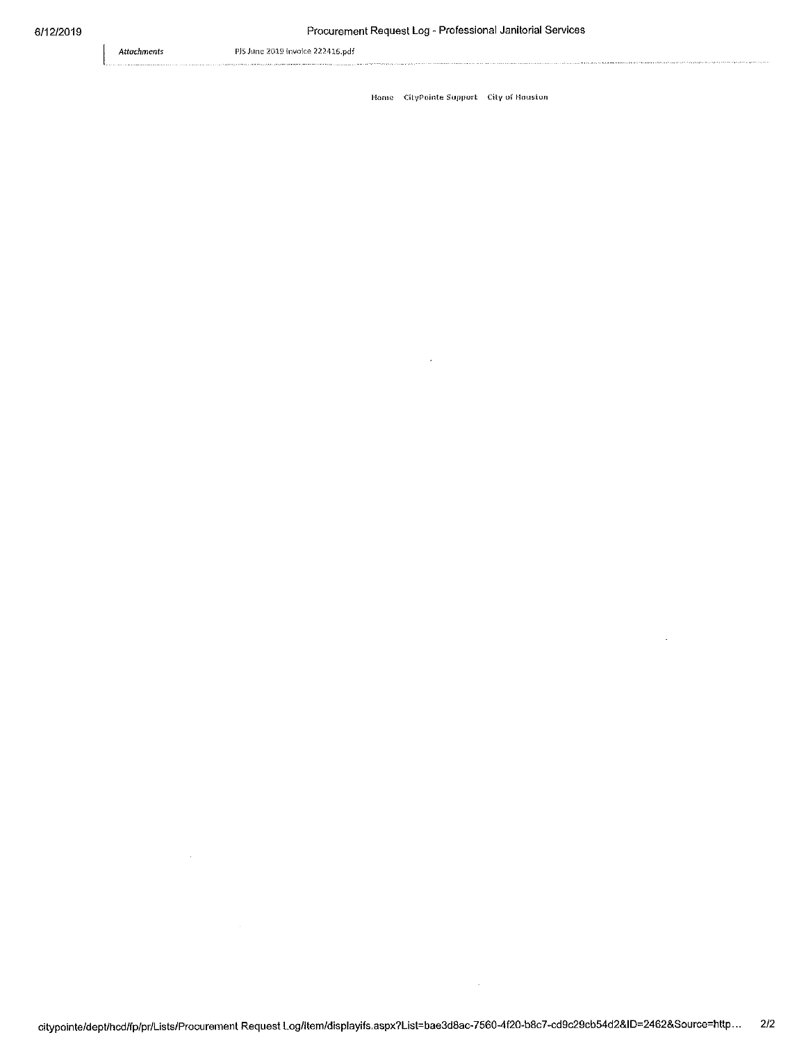Attachments

 $\hat{\boldsymbol{\theta}}$ 

 $\overline{a}$ 

PJS June 2019 Invoice 222416.pdf

Home CityPointe Support City of Hauston

 $\bar{z}$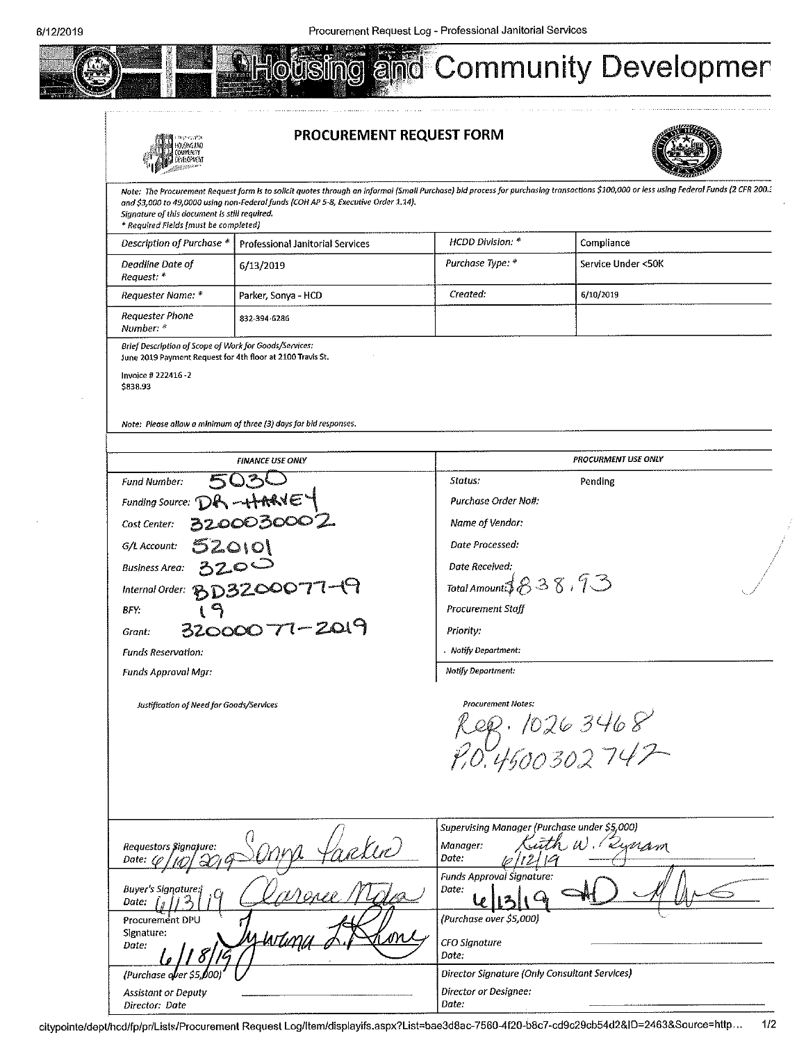

#### PROCUREMENT REQUEST FORM



**WAINAR** Note: The Procurement Request form is to solicit quotes through an informal (Small Purchase) bid process for purchasing transactions \$100,000 or less using Federal Funds (2 CFR 200. and \$3,000 to 49,0000 using non-Federal funds (COH AP 5-8, Executive Order 1.14). Signature of this document is still required. \* Required Fields [must be completed] HCDD Division: \* Description of Purchase \* **Professional Janitorial Services** Compliance Purchase Type: \* Deadline Date of 6/13/2019 Service Under <50K Request: \* Created: Requester Name: \* Parker, Sonya - HCD 6/10/2019 Requester Phone 832-394-6286 Number: \* Brief Description of Scope of Work for Goods/Services: June 2019 Payment Request for 4th floor at 2100 Travis St. Invoice # 222416-2 \$838.93 Note: Please allow a minimum of three (3) days for bid responses. **PROCURMENT USE ONLY FINANCE USE ONLY** Status: **Fund Number:** Pending Purchase Order Nott: **Funding Source:** 0030002 Name of Vendor: Cost Center: Date Processed: G/L Account:  $\mathsf{O}\mathsf{I}\mathsf{O}\mathsf{I}$ **Business Area:** Date Received: Total Amount  $838.73$ Internal Order: BD3200077-19 Procurement Staff **BFY** 32000077-2019 Priority: Grant: Notify Department: Funds Reservation: Notify Department: **Funds Approval Mgr:** Justification of Need for Goods/Services **Procurement Notes:** leg. 1026 3468<br>?0.4500302747 Supervising Manager (Purchase under \$5,000) rakin Lynam Manager:  $U$ Requestors \$ignature: Date: Date: '12 **Funds Approval Signature** Date: **Buver's Sianature:** Date:

(Purchase over \$5,000)

CFO Signature

Date:

Director Signature (Only Consultant Services)

Director or Designee: Date:

Procurement DPU Signature:

(Purchase over \$5

**Assistant or Deputy** Director: Date

noo

Date: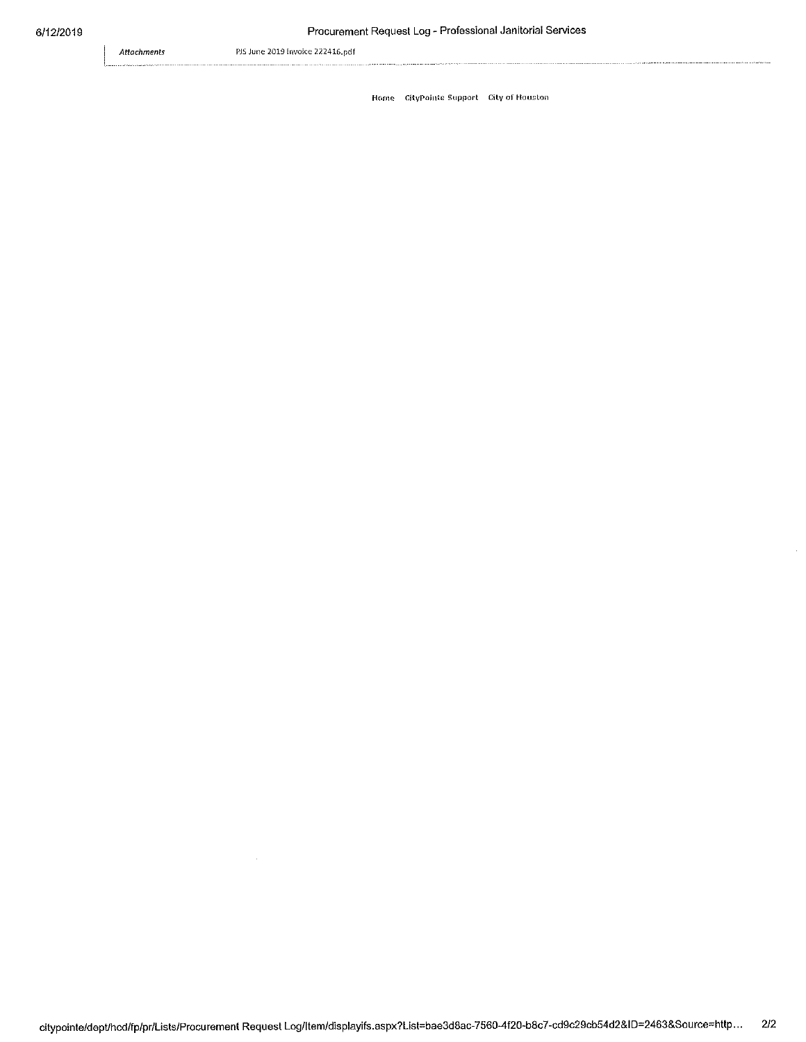Attachments

PJS June 2019 Invoice 222416.pdf

Home CityPointe Support City of Houston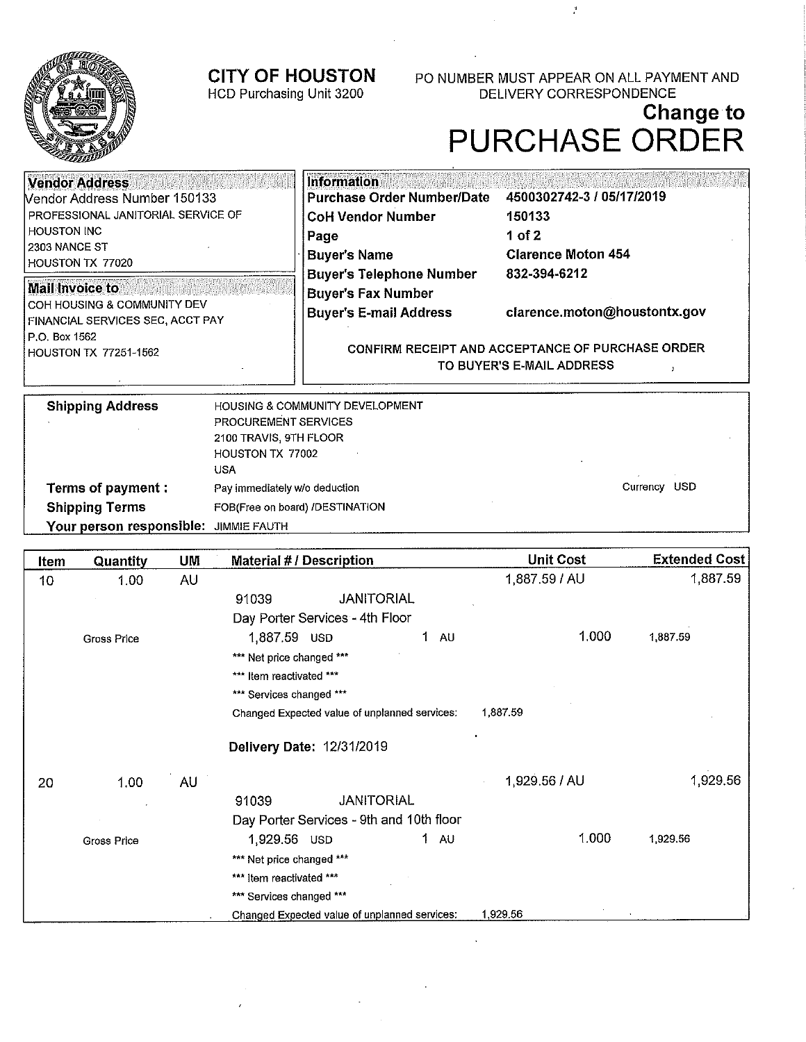

HCD Purchasing Unit 3200

PO NUMBER MUST APPEAR ON ALL PAYMENT AND DELIVERY CORRESPONDENCE

 $\mathcal{E}$ 

# Change to<br>PURCHASE ORDER

| <b>Vendor Address</b><br><b>Nendor Address Number 150133</b><br>PROFESSIONAL JANITORIAL SERVICE OF<br>I HOUSTON INC<br>l 2303 NANCE ST<br>HOUSTON TX 77020 | <b>Information</b><br><b>Purchase Order Number/Date</b><br><b>CoH Vendor Number</b><br>Page<br><b>Buyer's Name</b> | 4500302742-3 / 05/17/2019<br>150133<br>1 of 2<br><b>Clarence Moton 454</b> |  |
|------------------------------------------------------------------------------------------------------------------------------------------------------------|--------------------------------------------------------------------------------------------------------------------|----------------------------------------------------------------------------|--|
| <b>Mail Invoice to</b><br>I COH HOUSING & COMMUNITY DEV<br>FINANCIAL SERVICES SEC, ACCT PAY                                                                | <b>Buyer's Telephone Number</b><br><b>Buyer's Fax Number</b><br><b>Buyer's E-mail Address</b>                      | 832-394-6212<br>clarence.moton@houstontx.gov                               |  |
| P.O. Box 1562<br><b>HOUSTON TX 77251-1562</b>                                                                                                              | CONFIRM RECEIPT AND ACCEPTANCE OF PURCHASE ORDER<br>TO BUYER'S E-MAIL ADDRESS                                      |                                                                            |  |

| <b>Shipping Address</b>               | <b>HOUSING &amp; COMMUNITY DEVELOPMENT</b> |                  |
|---------------------------------------|--------------------------------------------|------------------|
|                                       | PROCUREMENT SERVICES                       |                  |
|                                       | 2100 TRAVIS, 9TH FLOOR                     |                  |
|                                       | HOUSTON TX 77002                           |                  |
|                                       | USA                                        |                  |
| Terms of payment :                    | Pay immediately w/o deduction              | USD.<br>Currency |
| <b>Shipping Terms</b>                 | FOB(Free on board) /DESTINATION            |                  |
| Your person responsible: JIMMIE FAUTH |                                            |                  |

| Item            | Quantity           | UM | <b>Material #/Description</b>                 | <b>Unit Cost</b> | <b>Extended Cost</b> |
|-----------------|--------------------|----|-----------------------------------------------|------------------|----------------------|
| 10 <sup>1</sup> | 1.00               | AU |                                               | 1,887.59 / AU    | 1,887.59             |
|                 |                    |    | <b>JANITORIAL</b><br>91039                    |                  |                      |
|                 |                    |    | Day Porter Services - 4th Floor               |                  |                      |
|                 | <b>Gross Price</b> |    | 1,887.59 USD<br>1.<br>AU.                     | 1.000            | 1,887.59             |
|                 |                    |    | *** Net price changed ***                     |                  |                      |
|                 |                    |    | *** Item reactivated ***                      |                  |                      |
|                 |                    |    | *** Services changed ***                      |                  |                      |
|                 |                    |    | Changed Expected value of unplanned services: | 1,887.59         |                      |
|                 |                    |    | Delivery Date: 12/31/2019                     |                  |                      |
| 20              | 1,00               | AU |                                               | 1,929.56 / AU    | 1,929.56             |
|                 |                    |    | <b>JANITORIAL</b><br>91039                    |                  |                      |
|                 |                    |    | Day Porter Services - 9th and 10th floor      |                  |                      |
|                 | <b>Gross Price</b> |    | $1 \quad \text{AU}$<br>1,929.56 USD           | 1.000            | 1,929.56             |
|                 |                    |    | *** Net price changed ***                     |                  |                      |
|                 |                    |    | *** Item reactivated ***                      |                  |                      |
|                 |                    |    | *** Services changed ***                      |                  |                      |
|                 |                    |    | Changed Expected value of unplanned services: | 1.929.56         |                      |

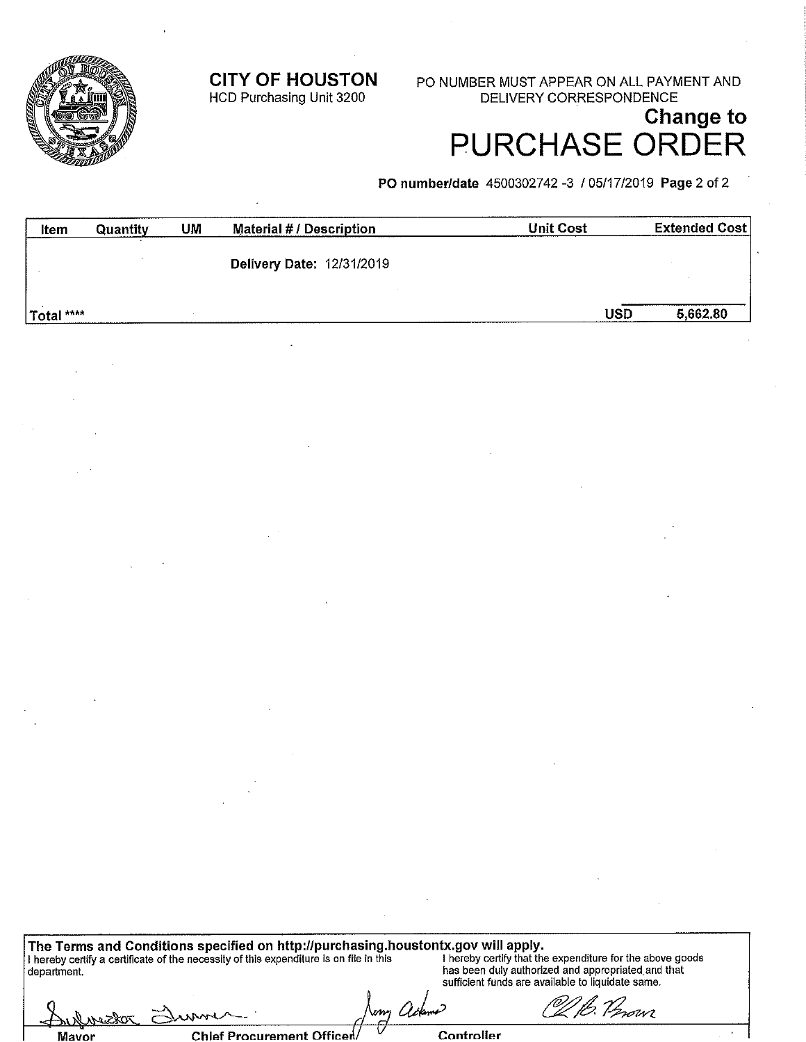**CITY OF HOUSTON** 

HCD Purchasing Unit 3200

PO NUMBER MUST APPEAR ON ALL PAYMENT AND **DELIVERY CORRESPONDENCE** 

# **Change to PURCHASE ORDER**

PO number/date 4500302742 -3 / 05/17/2019 Page 2 of 2

| Item       | Quantity | UM | <b>Material #/ Description</b>   | <b>Unit Cost</b> | <b>Extended Cost</b> |
|------------|----------|----|----------------------------------|------------------|----------------------|
|            |          |    | <b>Delivery Date: 12/31/2019</b> |                  |                      |
| Total **** |          |    |                                  | <b>USD</b>       | 5,662.80             |

The Terms and Conditions specified on http://purchasing.houstontx.gov will apply.<br>
I hereby certify a certificate of the necessity of this expenditure is on file in this<br>
department.<br>
department.<br>
department. <sup>g</sup> Verovi r *Ote*kn

| Aufmedor |       |  |  |
|----------|-------|--|--|
|          | Mayor |  |  |

**Chief Procurement Officer** 

www

Controller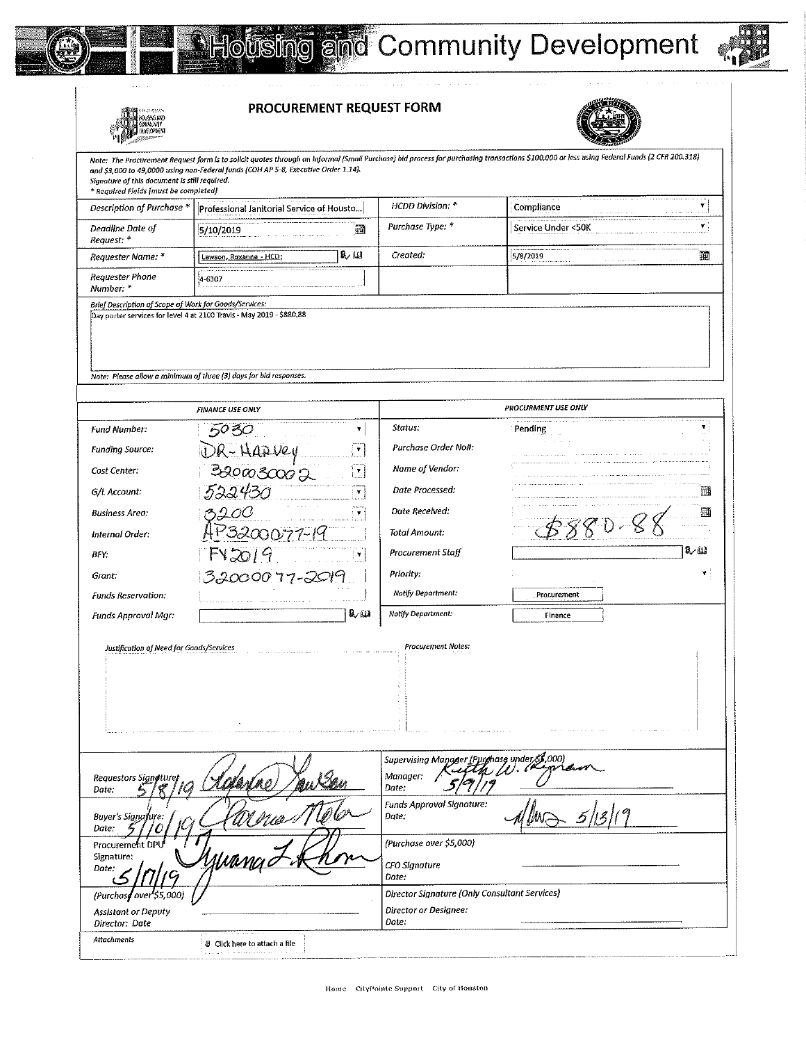



PROCUREMENT REQUEST FORM



|                                                                                        | <b>PROCUREMENT REQUEST FORM</b>                                                                                                                                                                                                                                                  |                                                                        |                     |      |
|----------------------------------------------------------------------------------------|----------------------------------------------------------------------------------------------------------------------------------------------------------------------------------------------------------------------------------------------------------------------------------|------------------------------------------------------------------------|---------------------|------|
| Signature of this document is still required.<br>* Required Fields [must be completed] | Note: The Procurement Request form is to solicit quotes through an informal (Small Purchase) bid process for purchasing transactions \$100,000 or less using Federal Funds (2 CFR 200.318)<br>and \$3,000 to 49,0000 using non-Federal funds (COH AP 5-8, Executive Order 1.14). |                                                                        |                     |      |
| Description of Purchase *                                                              | Professional Janitorial Service of Housto                                                                                                                                                                                                                                        | HCDD Division: *                                                       | Compliance          | Ŧ    |
| Deadline Date of<br>Request: *                                                         | 5/10/2019<br>圉                                                                                                                                                                                                                                                                   | Purchase Type: *                                                       | Service Under <50K  | ۷.   |
| Requester Name: *                                                                      | 致国<br>Lawson, Roxanne - HCD;                                                                                                                                                                                                                                                     | Created:                                                               | 5/8/2019            | 廽    |
| Requester Phone<br>Number: *                                                           | 4-6307                                                                                                                                                                                                                                                                           |                                                                        |                     |      |
| Brief Description of Scope of Work for Goods/Services:                                 | Day porter services for level 4 at 2100 Travis - May 2019 - \$880.88<br>Note: Please allow a minimum of three (3) days for bid responses.                                                                                                                                        |                                                                        |                     |      |
|                                                                                        |                                                                                                                                                                                                                                                                                  |                                                                        | PROCURMENT USE ONLY |      |
| Fund Number:                                                                           | <b>FINANCE USE ONLY</b><br>5030<br>¥.                                                                                                                                                                                                                                            | Status:                                                                | Pending             |      |
| <b>Funding Source:</b>                                                                 | ۷.                                                                                                                                                                                                                                                                               | Purchase Order No#:                                                    |                     |      |
| Cost Center:                                                                           | DR-HAZVEY<br>Broascoor<br>۲.                                                                                                                                                                                                                                                     | Name of Vendor:                                                        |                     |      |
| G/L Account:                                                                           | 522430<br>¥                                                                                                                                                                                                                                                                      | Date Processed:                                                        |                     | 廽    |
| <b>Business Area:</b>                                                                  | ۷                                                                                                                                                                                                                                                                                | Date Received:                                                         |                     |      |
| Internal Order:                                                                        | <u>1P3200077-19</u>                                                                                                                                                                                                                                                              | Total Amount:                                                          |                     |      |
| BFY:                                                                                   | FV2019<br>$\pmb{\mathrm{v}}$                                                                                                                                                                                                                                                     | Procurement Staff                                                      |                     | 8. W |
| Grant:                                                                                 | 32000077-2019                                                                                                                                                                                                                                                                    | Priority:                                                              |                     |      |
| <b>Funds Reservation:</b>                                                              |                                                                                                                                                                                                                                                                                  | Notify Department:                                                     | Procurement         |      |
| Funds Approval Mgr:                                                                    | 見題                                                                                                                                                                                                                                                                               | Notify Department:                                                     | Finance             |      |
| Justification of Need for Goods/Services                                               |                                                                                                                                                                                                                                                                                  | <b>Procurement Notes:</b>                                              |                     |      |
| Requestors Signeture,<br>Date:                                                         |                                                                                                                                                                                                                                                                                  | Supervising Manager (Purghase under,<br>Manager:<br>Date:              | 00O)                |      |
| Buyer's Signafure.<br>Date:                                                            |                                                                                                                                                                                                                                                                                  | Funds Approval Signature:<br>Date:                                     |                     |      |
| Procurement DPL<br>Signature:<br>Date:                                                 |                                                                                                                                                                                                                                                                                  | (Purchase over \$5,000)<br>CFO Signature<br>Date:                      |                     |      |
| (Purchase over S5,000)                                                                 |                                                                                                                                                                                                                                                                                  | Director Signature (Only Consultant Services)<br>Director or Designee: |                     |      |
| <b>Assistant or Deputy</b><br>Director: Date                                           |                                                                                                                                                                                                                                                                                  | Date:                                                                  |                     |      |
| Attachments                                                                            | 8 Click here to attach a file                                                                                                                                                                                                                                                    |                                                                        |                     |      |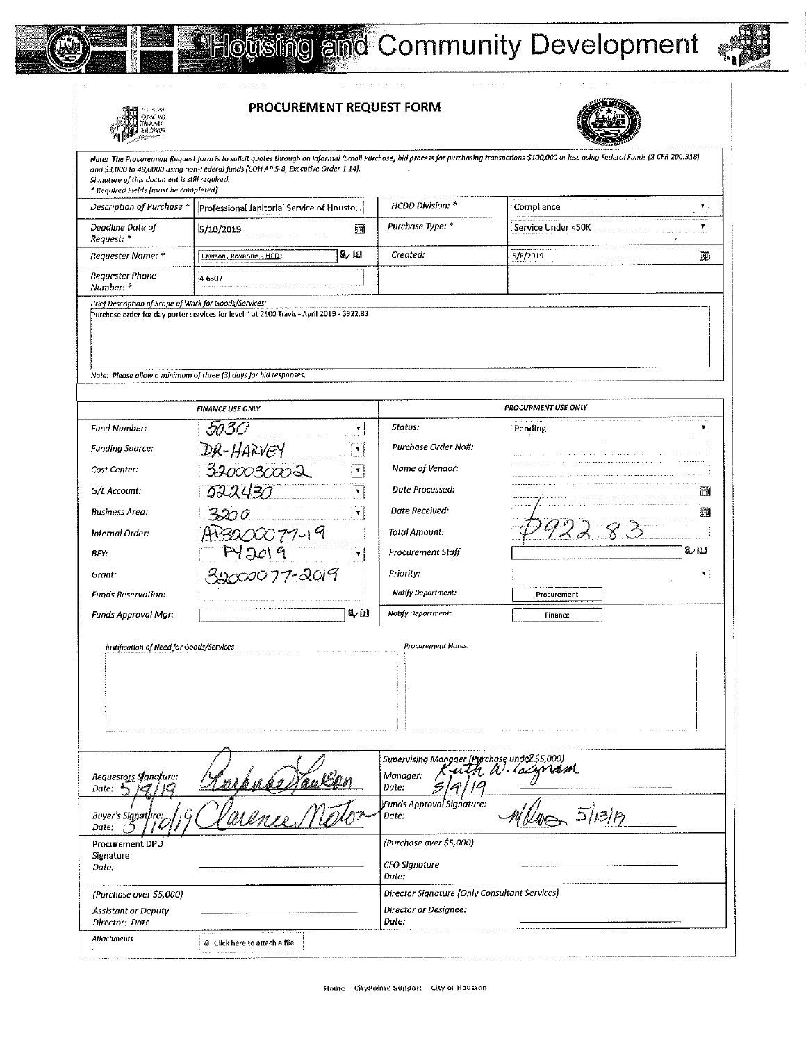

**MARINA (1989)**<br>A TOURA AND<br>A A CULONAIS A

Š



PROCUREMENT REQUEST FORM



| n ka<br>a an ainm an                                                                   |                                                                                                                                                                                                                                                                                  |                                               |                              |                    |
|----------------------------------------------------------------------------------------|----------------------------------------------------------------------------------------------------------------------------------------------------------------------------------------------------------------------------------------------------------------------------------|-----------------------------------------------|------------------------------|--------------------|
| Signature of this document is still required.<br>* Required Fields [must be completed] | Note: The Procurement Request form is to solicit quotes through an informal (Small Purchase) bid process for purchasing transactions \$100,000 or less using Federal Funds (2 CFR 200.318)<br>and \$3,000 to 49,0000 using non-Federal funds (COH AP 5-8, Executive Order 1.14). |                                               |                              |                    |
| Description of Purchase *                                                              | Professional Janitorial Service of Housto                                                                                                                                                                                                                                        | HCDD Division: *                              | Compliance<br>contractor and | ۳                  |
| Deadline Date of<br>Request: *                                                         | 5/10/2019<br>酾                                                                                                                                                                                                                                                                   | Purchase Type: *                              | Service Under <50K           | $\pmb{\mathrm{v}}$ |
| Requester Name: *                                                                      | لمنابكا<br>Lawson, Roxanne - HCD;                                                                                                                                                                                                                                                | Created:                                      | 5/8/2019                     | 逦                  |
| Requester Phone<br>Number: *                                                           | 4-6307                                                                                                                                                                                                                                                                           |                                               |                              |                    |
| Brief Description of Scope of Work for Goods/Services:                                 | Purchase order for day porter services for level 4 at 2100 Travis - April 2019 - \$922.83<br>Note: Please allow a minimum of three (3) days for bid responses.                                                                                                                   |                                               |                              |                    |
|                                                                                        | <b>FINANCE USE ONLY</b>                                                                                                                                                                                                                                                          |                                               | <b>PROCURMENT USE ONLY</b>   |                    |
| <b>Fund Number:</b>                                                                    | ۷                                                                                                                                                                                                                                                                                | Status:                                       | Pending                      | ۷                  |
|                                                                                        | 503 O                                                                                                                                                                                                                                                                            | Purchase Order No#:                           |                              |                    |
| <b>Funding Source:</b>                                                                 | DR-HARVEY<br>$\pmb{\mathrm{v}}$<br>3300030002                                                                                                                                                                                                                                    | Name of Vendor:                               |                              |                    |
| Cost Center:                                                                           | ₹.                                                                                                                                                                                                                                                                               | Date Processed:                               |                              |                    |
| G/L Account:                                                                           | 522430<br>۷                                                                                                                                                                                                                                                                      |                                               |                              | 逦                  |
| <b>Business Area:</b>                                                                  | 3200<br>Υ.                                                                                                                                                                                                                                                                       | Date Received:                                |                              | 邇                  |
| Internal Order:                                                                        | P3200077-19                                                                                                                                                                                                                                                                      | Total Amount:                                 |                              |                    |
| BFY.                                                                                   | PY2019<br>мj                                                                                                                                                                                                                                                                     | Procurement Staff                             |                              | ڭ ر8               |
| Grant:                                                                                 | 22000077-2019                                                                                                                                                                                                                                                                    | Priority:                                     |                              |                    |
| <b>Funds Reservation:</b>                                                              |                                                                                                                                                                                                                                                                                  | Natify Department:                            | Procurement                  |                    |
| Funds Approval Mgr:                                                                    | 見間                                                                                                                                                                                                                                                                               | Notify Department:                            | Finance                      |                    |
| Justification of Need for Goods/Services                                               |                                                                                                                                                                                                                                                                                  | <b>Procurement Notes:</b>                     |                              |                    |
|                                                                                        |                                                                                                                                                                                                                                                                                  | Supervising Manager (Purchase undez \$5,000)  |                              |                    |
| Requestors Signofure:<br>Date: $\mathbb{A}$<br>ĸ                                       |                                                                                                                                                                                                                                                                                  | Manager:<br>Date:<br>S                        | uth W. Coman                 |                    |
| Buyer's Signature:<br>Date:                                                            | respublikanser<br>Parence Mot                                                                                                                                                                                                                                                    | Funds Approval Signature:<br>Date.            |                              |                    |
| Procurement DPU                                                                        |                                                                                                                                                                                                                                                                                  | (Purchase over \$5,000)                       |                              |                    |
| Signature:<br>Date:                                                                    |                                                                                                                                                                                                                                                                                  | CFO Signature<br>Date:                        |                              |                    |
| (Purchase over \$5,000)                                                                |                                                                                                                                                                                                                                                                                  | Director Signature (Only Consultant Services) |                              |                    |
| <b>Assistant or Deputy</b><br>Director: Date                                           |                                                                                                                                                                                                                                                                                  | Director or Designee:<br>Date:                |                              |                    |
| Attachments                                                                            | § Click here to attach a file                                                                                                                                                                                                                                                    |                                               |                              |                    |
|                                                                                        |                                                                                                                                                                                                                                                                                  |                                               |                              |                    |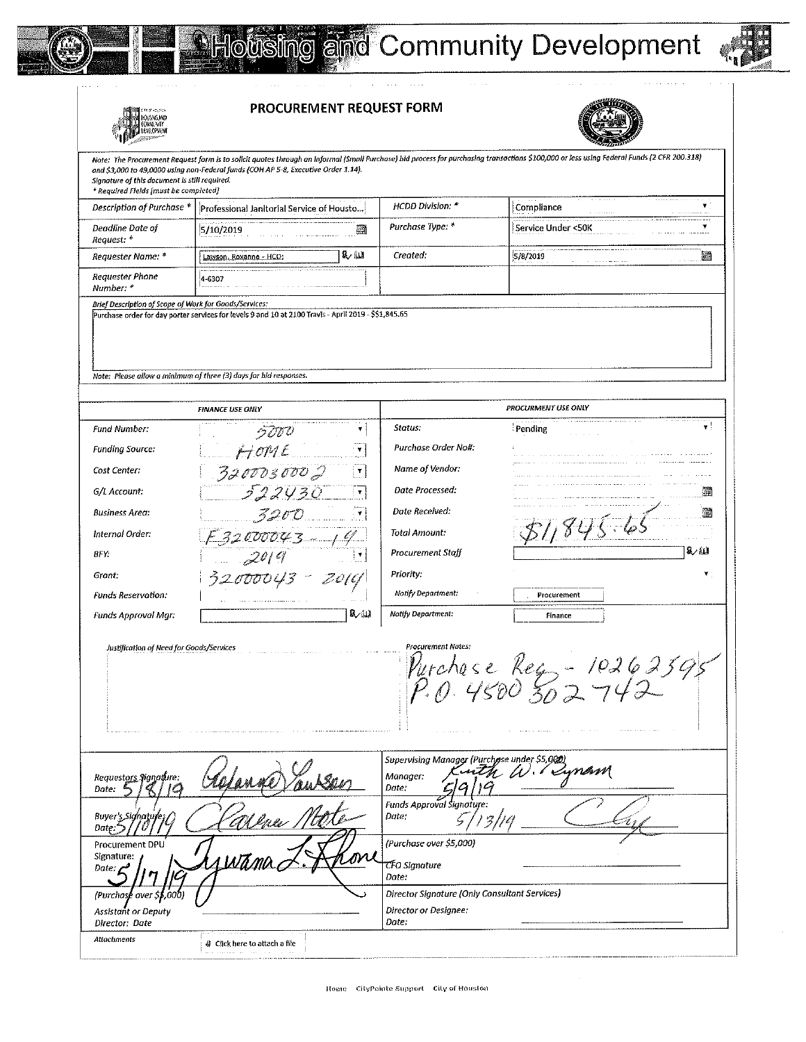



 $\bar{z}$ 



|                                                                                        | PROCUREMENT REQUEST FORM                                                                                                                                                   |                                                                                 |                                                                                                                                                                                            |     |
|----------------------------------------------------------------------------------------|----------------------------------------------------------------------------------------------------------------------------------------------------------------------------|---------------------------------------------------------------------------------|--------------------------------------------------------------------------------------------------------------------------------------------------------------------------------------------|-----|
| Slanature of this document is still required.<br>* Required Fields (must be completed) | and \$3,000 to 49,0000 using non-Federal funds (COH AP 5-8, Executive Order 1.14).                                                                                         |                                                                                 | Note: The Procurement Request form is to solicit quotes through an informal (Small Purchase) bid process for purchasing transactions \$100,000 or less using Federal Funds (2 CFR 200.318) |     |
| Description of Purchase *                                                              | Professional Janitorial Service of Housto                                                                                                                                  | HCDD Division. *                                                                | Compliance                                                                                                                                                                                 |     |
| Deadline Date of<br>Request: *                                                         | 5/10/2019<br>齏                                                                                                                                                             | Purchase Type: *                                                                | Service Under <50K                                                                                                                                                                         |     |
| Requester Name: *                                                                      | ४∕ धा<br>Lawson, Roxanne - HCD;                                                                                                                                            | Created:                                                                        | 5/8/2019<br>the company of the                                                                                                                                                             | 邇   |
| <b>Requester Phone</b><br>Number: *                                                    | 4-6307                                                                                                                                                                     |                                                                                 |                                                                                                                                                                                            |     |
| Brief Description of Scope of Work for Goods/Services:                                 | Purchase order for day porter services for levels 9 and 10 at 2100 Travis - April 2019 - \$\$1,845.65<br>Note: Please allow a minimum of three (3) days for bid responses. |                                                                                 |                                                                                                                                                                                            |     |
|                                                                                        | <b>FINANCE USE ONLY</b>                                                                                                                                                    |                                                                                 | PROCURMENT USE ONLY                                                                                                                                                                        |     |
| <b>Fund Number:</b>                                                                    | 5000                                                                                                                                                                       | Status:                                                                         | Pending                                                                                                                                                                                    | 7   |
| Funding Source:                                                                        | HOME<br>$\pmb{\mathrm{v}}$                                                                                                                                                 | Purchase Order Noll:                                                            |                                                                                                                                                                                            |     |
| Cost Center:                                                                           | 3200030002<br>$\mathbf{v}$                                                                                                                                                 | Name of Vendor:                                                                 |                                                                                                                                                                                            |     |
| G/L Account.                                                                           | 522430                                                                                                                                                                     | Date Processed:                                                                 |                                                                                                                                                                                            | 缅   |
| <b>Business Area:</b>                                                                  |                                                                                                                                                                            | Date Received:                                                                  |                                                                                                                                                                                            | 賱   |
| Internal Order:                                                                        | 3200                                                                                                                                                                       | Total Amount:                                                                   |                                                                                                                                                                                            |     |
| BFY.                                                                                   | $\frac{F32000043-19}{2019}$                                                                                                                                                | Procurement Staff                                                               |                                                                                                                                                                                            | க∠ய |
| Grant:                                                                                 | 32000043 - 2019                                                                                                                                                            | Priority:                                                                       |                                                                                                                                                                                            |     |
| <b>Funds Reservation:</b>                                                              |                                                                                                                                                                            | Notify Department:                                                              | Procurement                                                                                                                                                                                |     |
| Funds Approval Mgr:                                                                    | 象仙                                                                                                                                                                         | <b>Notify Department:</b>                                                       | Finance                                                                                                                                                                                    |     |
| Justification of Need for Goods/Services                                               |                                                                                                                                                                            | <b>Procurement Notes:</b><br>and a series of the                                | Purchase Reg - 1026239<br>P.O. UKOO 300 742<br>$\prime\sim\!\!\varphi$<br>and a state of the<br>$\alpha$ and $\alpha$ and $\alpha$<br>the second contract of the con-                      |     |
| Requestors Signature:<br>Date:                                                         |                                                                                                                                                                            | Supervising Manager (Purchase under \$5,000)<br>Manager:<br>Date:               | 11 de europe                                                                                                                                                                               |     |
| Buyer's Signature:<br>Date:                                                            |                                                                                                                                                                            | <b>Funds Approval Signature:</b><br>Date:                                       |                                                                                                                                                                                            |     |
| Procurement DPU<br>Signature:<br>Date: p                                               |                                                                                                                                                                            | (Purchase over \$5,000)<br>CFO Signature<br>Date:                               |                                                                                                                                                                                            |     |
| Purchase over S\$ 000<br><b>Assistant or Deputy</b><br>Director: Date                  |                                                                                                                                                                            | Director Signature (Only Consultant Services)<br>Director or Designee:<br>Date: |                                                                                                                                                                                            |     |
| <b>Attachments</b>                                                                     | @ Click here to attach a file<br>and a constraint contract and $\mathcal{O}(2\pi)$ , $\mathcal{O}(2\pi)$ , $\mathcal{O}(2\pi)$ , and                                       |                                                                                 |                                                                                                                                                                                            |     |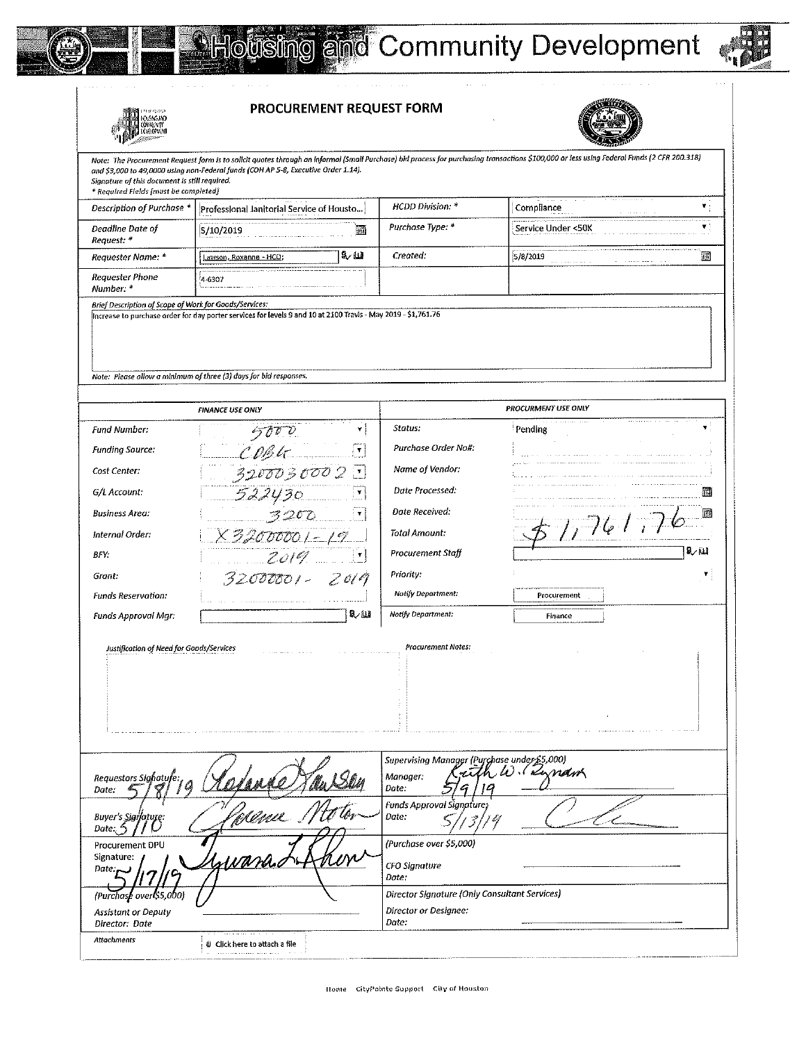

**FRANCISCO**<br>COMANY<br>COMANY<br>COMANY RESERVED



PROCUREMENT REQUEST FORM



| 甲乙酸                                                                                    |                                                                                                               |                                                                         |                                                                                                                                                                                            |    |
|----------------------------------------------------------------------------------------|---------------------------------------------------------------------------------------------------------------|-------------------------------------------------------------------------|--------------------------------------------------------------------------------------------------------------------------------------------------------------------------------------------|----|
| Signature of this document is still required.<br>* Required Fields [must be completed] | and \$3,000 to 49,0000 using non-Federal funds (COH AP 5-8, Executive Order 1.14).                            |                                                                         | Note: The Procurement Request form is to solicit quotes through an informal (Small Purchase) bid process for purchasing transactions \$100,000 or less using Federal Funds (2 CFR 200.318) |    |
| Description of Purchase *                                                              | Professional Janitorial Service of Housto                                                                     | HCDD Division. *                                                        | Compliance                                                                                                                                                                                 | ۷  |
| Deadline Date of<br>Request: *                                                         | 5/10/2019<br>孤                                                                                                | Purchase Type: *                                                        | Service Under <50K                                                                                                                                                                         | У. |
| Requester Name: *                                                                      | 致血<br>Lawson, Roxanne - HCD;                                                                                  | Created:                                                                | 5/8/2019                                                                                                                                                                                   | 缅  |
| Requester Phone<br>Number: *                                                           | 4-6307                                                                                                        |                                                                         |                                                                                                                                                                                            |    |
| Brief Description of Scope of Work for Goods/Services:                                 | Increase to purchase order for day porter services for levels 9 and 10 at 2100 Travis - May 2019 - \$1,761.76 |                                                                         |                                                                                                                                                                                            |    |
|                                                                                        | Note: Piease allow a minimum of three (3) days for bid responses.                                             |                                                                         |                                                                                                                                                                                            |    |
|                                                                                        | <b>FINANCE USE ONLY</b>                                                                                       |                                                                         | <b>PROCURMENT USE ONLY</b>                                                                                                                                                                 |    |
| Fund Number:                                                                           |                                                                                                               | Status:                                                                 | Pending                                                                                                                                                                                    | ▼  |
| Funding Source:                                                                        |                                                                                                               | Purchase Order No#:                                                     |                                                                                                                                                                                            |    |
| Cost Center:                                                                           | $\frac{5000}{1000}$ x<br>$\frac{1}{3200030002}$                                                               | Name of Vendor:                                                         |                                                                                                                                                                                            |    |
| G/L Account.                                                                           |                                                                                                               | Date Processed:                                                         |                                                                                                                                                                                            |    |
| <b>Business Area:</b>                                                                  | $\frac{522430}{3200}$                                                                                         | Date Received:                                                          |                                                                                                                                                                                            | 賱  |
| Internal Order:                                                                        | <u> X 3,200000   - 19 - </u>                                                                                  | Total Amount:                                                           | 71611                                                                                                                                                                                      |    |
| BFY:                                                                                   | 2019                                                                                                          | Procurement Staff                                                       |                                                                                                                                                                                            | 取田 |
| Grant.                                                                                 | 32000001-2019                                                                                                 | Priority:                                                               |                                                                                                                                                                                            |    |
| <b>Funds Reservation:</b>                                                              |                                                                                                               | Notify Department:                                                      | Procurement                                                                                                                                                                                |    |
| Funds Approval Mgr:                                                                    | 矿田                                                                                                            | Notify Department:                                                      | Finance                                                                                                                                                                                    |    |
| Justification of Need for Goods/Services                                               |                                                                                                               | <b>Procurement Notes:</b>                                               |                                                                                                                                                                                            |    |
| Requestors Sighature:<br>Date:                                                         |                                                                                                               | Supervising Manager (Purchase under £5,000)<br>مدس<br>Manager:<br>Date: | W. Kunam                                                                                                                                                                                   |    |
| Buyer's Sigilature:<br>Date:                                                           | 'Alma                                                                                                         | <b>Funds Approval Signature:</b><br>Date:                               |                                                                                                                                                                                            |    |
| Procurement DPU<br>Signature:<br>Date:<br>rc.                                          |                                                                                                               | (Purchase over \$5,000)<br>CFO Signature<br>Date:                       |                                                                                                                                                                                            |    |
| (Purchase over \$5,000)                                                                |                                                                                                               | Director Signature (Only Consultant Services)                           |                                                                                                                                                                                            |    |
| <b>Assistant or Deputy</b><br>Director: Date                                           |                                                                                                               | Director or Designee:<br>Date:                                          |                                                                                                                                                                                            |    |
| Attachments                                                                            | ම Click here to attach a file                                                                                 |                                                                         |                                                                                                                                                                                            |    |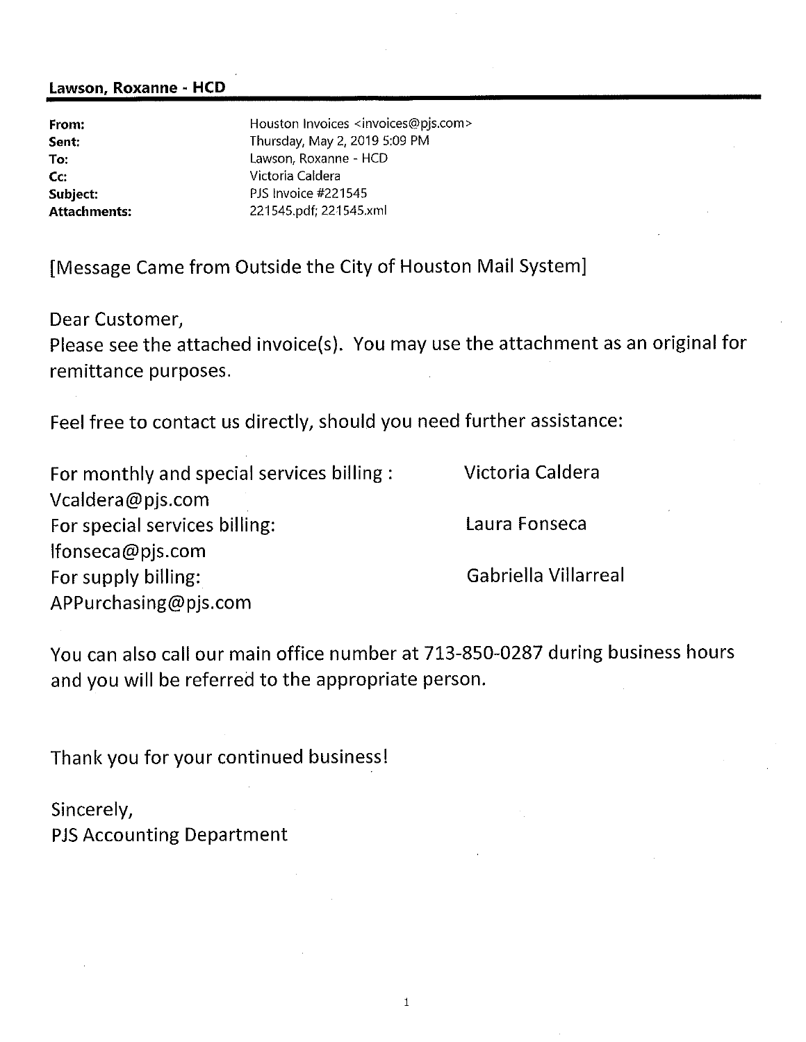### Lawson, Roxanne - HCD

| Houston Invoices <invoices@pjs.com></invoices@pjs.com> |
|--------------------------------------------------------|
| Thursday, May 2, 2019 5:09 PM                          |
| Lawson, Roxanne - HCD                                  |
| Victoria Caldera                                       |
| PJS Invoice #221545                                    |
| 221545.pdf; 221545.xml                                 |
|                                                        |

[Message Came from Outside the City of Houston Mail System]

Dear Customer,

Please see the attached invoice(s). You may use the attachment as an original for remittance purposes.

Feel free to contact us directly, should you need further assistance:

| Victoria Caldera    |
|---------------------|
|                     |
| Laura Fonseca       |
|                     |
| Gabriella Villarrea |
|                     |
|                     |

You can also call our main office number at 713-850-0287 during business hours and you will be referred to the appropriate person.

Thank you for your continued business!

Sincerely,

**PJS Accounting Department**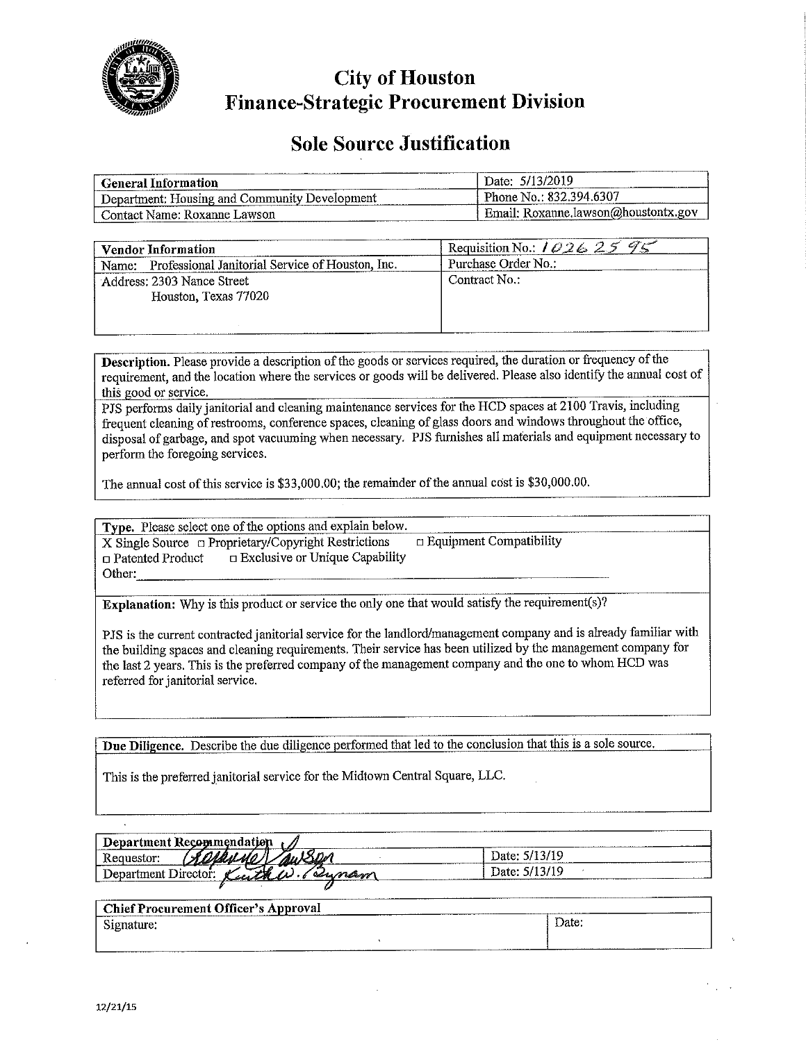

**City of Houston Finance-Strategic Procurement Division** 

# **Sole Source Justification**

| <b>General Information</b>                    | Date: 5/13/2019                     |
|-----------------------------------------------|-------------------------------------|
| Department: Housing and Community Development | Phone No.: 832.394.6307             |
| Contact Name: Roxanne Lawson                  | Email: Roxanne.lawson@houstontx.gov |

| <b>Vendor Information</b>                              | Requisition No.: $10262595$ |
|--------------------------------------------------------|-----------------------------|
| Name: Professional Janitorial Service of Houston, Inc. | Purchase Order No.:         |
| Address: 2303 Nance Street                             | Contract No.:               |
| Houston, Texas 77020                                   |                             |
|                                                        |                             |
|                                                        |                             |

**Description.** Please provide a description of the goods or services required, the duration or frequency of the requirement, and the location where the services or goods will be delivered. Please also identify the annual cost of this good or service.

PJS performs daily janitorial and cleaning maintenance services for the HCD spaces at 2100 Travis, including frequent cleaning of restrooms, conference spaces, cleaning of glass doors and windows throughout the office, disposal of garbage, and spot vacuuming when necessary. PJS furnishes all materials and equipment necessary to perform the foregoing services.

The annual cost of this service is \$33,000.00; the remainder of the annual cost is \$30,000.00.

Type. Please select one of the options and explain below.  $X$  Single Source  $\Box$  Proprietary/Copyright Restrictions  $\Box$  Equipment Compatibility Exclusive or Unique Capability □ Patented Product Other:

Explanation: Why is this product or service the only one that would satisfy the requirement(s)?

PJS is the current contracted janitorial service for the landlord/management company and is already familiar with the building spaces and cleaning requirements. Their service has been utilized by the management company for the last 2 years. This is the preferred company of the management company and the one to whom HCD was referred for janitorial service.

Due Diligence. Describe the due diligence performed that led to the conclusion that this is a sole source.

This is the preferred janitorial service for the Midtown Central Square, LLC.

| -------------------<br>Department Recommendation |               |
|--------------------------------------------------|---------------|
| Requestor:<br><b>CONTRACTOR</b><br>,,,,,         | Date: 5/13/19 |
| --<br>Director:<br>it Mart<br>Department<br>محصص | Date: 5/13/19 |
|                                                  |               |

| <b>Chief Procurement Officer's Approval</b> |  |       |  |  |
|---------------------------------------------|--|-------|--|--|
| Signature.                                  |  | Date: |  |  |
|                                             |  |       |  |  |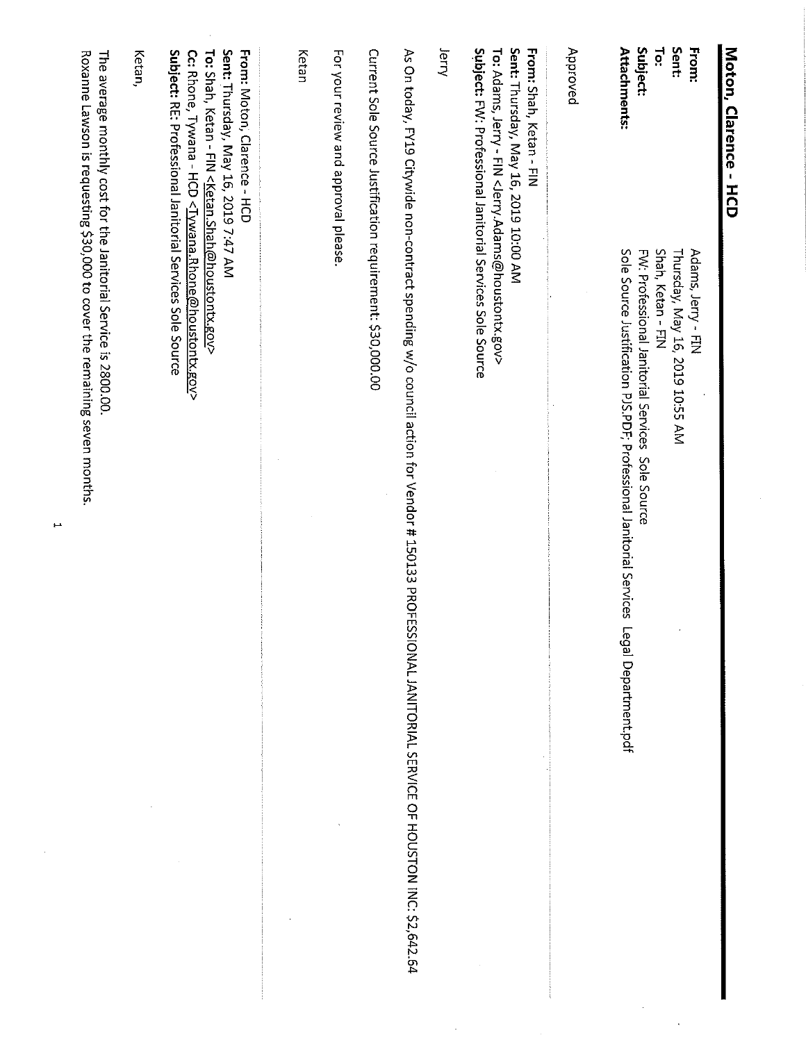| Moton, Clarence - HCD                                                                                                                                                                                                                    |                                                                                                                                                        |
|------------------------------------------------------------------------------------------------------------------------------------------------------------------------------------------------------------------------------------------|--------------------------------------------------------------------------------------------------------------------------------------------------------|
| From:                                                                                                                                                                                                                                    | Adams, Jerry - FIN                                                                                                                                     |
| Sent:<br>re:                                                                                                                                                                                                                             | Shah, Ketan - FIN<br>Thursday, May 16, 2019 10:55 AM                                                                                                   |
| Subject:                                                                                                                                                                                                                                 | FW: Professional Janitorial Services<br>Sole Source                                                                                                    |
| <b>Attachments:</b>                                                                                                                                                                                                                      | Sole Source Justification PJS.PPofessional Janitorial Services<br>Legal Department.pdf                                                                 |
| Approved                                                                                                                                                                                                                                 |                                                                                                                                                        |
| Sent: Thursday, May 16, 2019 10:00 AM<br><b>FINI: Stary, Ketan - FIN</b><br>Subject: FW: Professional Janitorial Services Sole Source<br>To: Adams, Jerry - FIN <jerry.adams@houstontx.gov></jerry.adams@houstontx.gov>                  |                                                                                                                                                        |
| lerry                                                                                                                                                                                                                                    |                                                                                                                                                        |
|                                                                                                                                                                                                                                          | As On today, FY19 Citywide non-contract spending w/o council action for Vendor # 150133 PROFE<br>SSIONAL JANITORIAL SERVICE OF HOUSTON INC: \$2,642.64 |
| Current Sole Source Justification requirement: \$30,000.00                                                                                                                                                                               |                                                                                                                                                        |
| For your review and approval please.                                                                                                                                                                                                     |                                                                                                                                                        |
| Ketan                                                                                                                                                                                                                                    |                                                                                                                                                        |
| Sent: Thursday, May 16, 2019 7:47 AM<br>From: Moton, Clarence - HCD<br>Cc: Rhone, Tywana - HCD <iywana.rhone@houstontx.gov><br/>To: Shah, Ketan - FIN <ketan.shah@houstontx.gov></ketan.shah@houstontx.gov></iywana.rhone@houstontx.gov> |                                                                                                                                                        |
| Subject: Professional Janitorial Services Sole Source<br>Ketan,                                                                                                                                                                          |                                                                                                                                                        |
| The average monthly cost for the Janitorial Service is 2800.00.                                                                                                                                                                          | Roxanne Lawson is requesting \$30,000 to cover the remaining seven months                                                                              |

 $\hat{\mathcal{S}}$ 

 $\overline{a}$ 

 $\frac{1}{2}$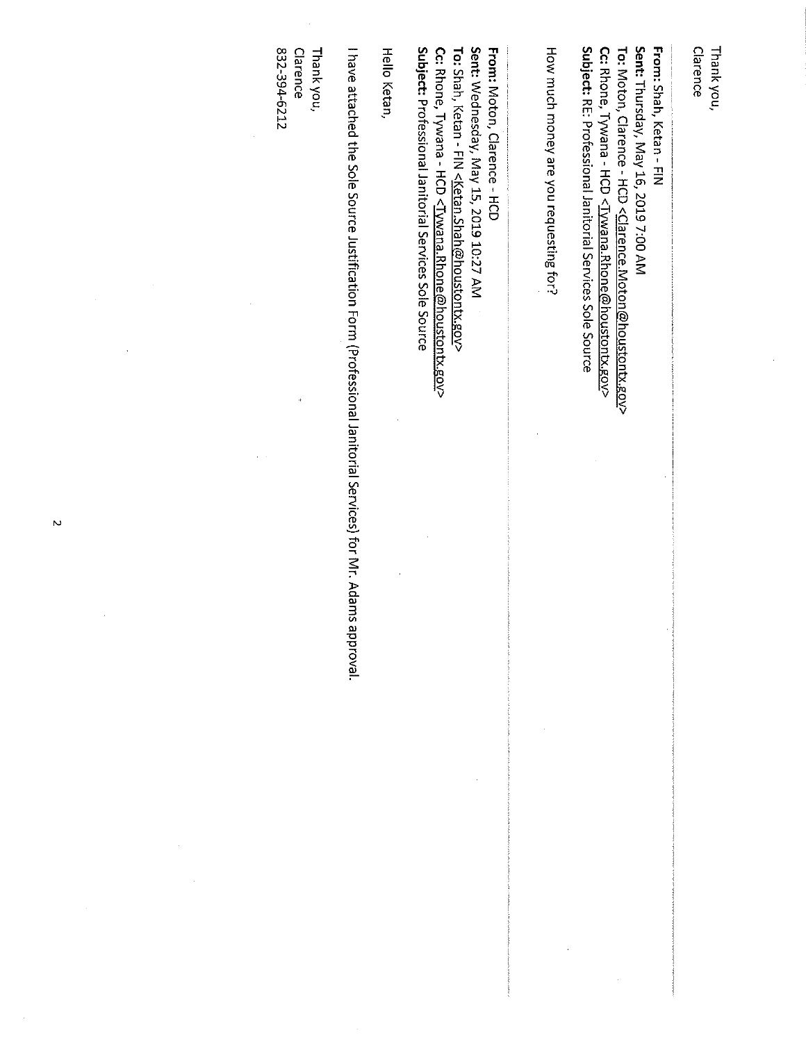| N | 832-394-6212<br>Clarence<br>Thank you, | Hello Ketan,<br>I have attached the Sole Source Justification Form (Professional Janitorial Services) for Mr. Adams approval. | Sent: Wednesday, May 15, 2019 10:27 AM<br>From: Moton, Clarence - HCD<br>Subject: Professional Janitorial Services Sole Source<br>Cc: Rhone, Tywana - HCD <tywana.rhone@houstontx.gov><br/>To: Shah, Ketan - FIN &lt;<u>Ketan Shah@houstontx.gov</u>&gt;</tywana.rhone@houstontx.gov> | How much money are you requesting for? | Sent: Thursday, May 16, 2019 7:00 AM<br>From: Shah, Ketan - FIN<br>Subject: RE: Professional Janitorial Services Sole Source<br>Cc: Rhone, Tywana - HCD <tywana.rhone@houstontx.gov><br/>To: Moton, Clarence - HCD <clarence.moton@houstontx.gov></clarence.moton@houstontx.gov></tywana.rhone@houstontx.gov> | Clarence<br>Thank you, |
|---|----------------------------------------|-------------------------------------------------------------------------------------------------------------------------------|---------------------------------------------------------------------------------------------------------------------------------------------------------------------------------------------------------------------------------------------------------------------------------------|----------------------------------------|---------------------------------------------------------------------------------------------------------------------------------------------------------------------------------------------------------------------------------------------------------------------------------------------------------------|------------------------|
|   |                                        |                                                                                                                               |                                                                                                                                                                                                                                                                                       |                                        |                                                                                                                                                                                                                                                                                                               |                        |

 $\label{eq:2.1} \frac{d\mathbf{r}}{dt} = \frac{1}{2} \left( \frac{d\mathbf{r}}{dt} + \frac{d\mathbf{r}}{dt} \right) \mathbf{r} \cdot \mathbf{r} \cdot \mathbf{r} \cdot \mathbf{r} \cdot \mathbf{r} \cdot \mathbf{r} \cdot \mathbf{r} \cdot \mathbf{r} \cdot \mathbf{r} \cdot \mathbf{r} \cdot \mathbf{r} \cdot \mathbf{r} \cdot \mathbf{r} \cdot \mathbf{r} \cdot \mathbf{r} \cdot \mathbf{r} \cdot \mathbf{r} \cdot \mathbf{r} \cdot \mathbf{r} \cdot \mathbf{r$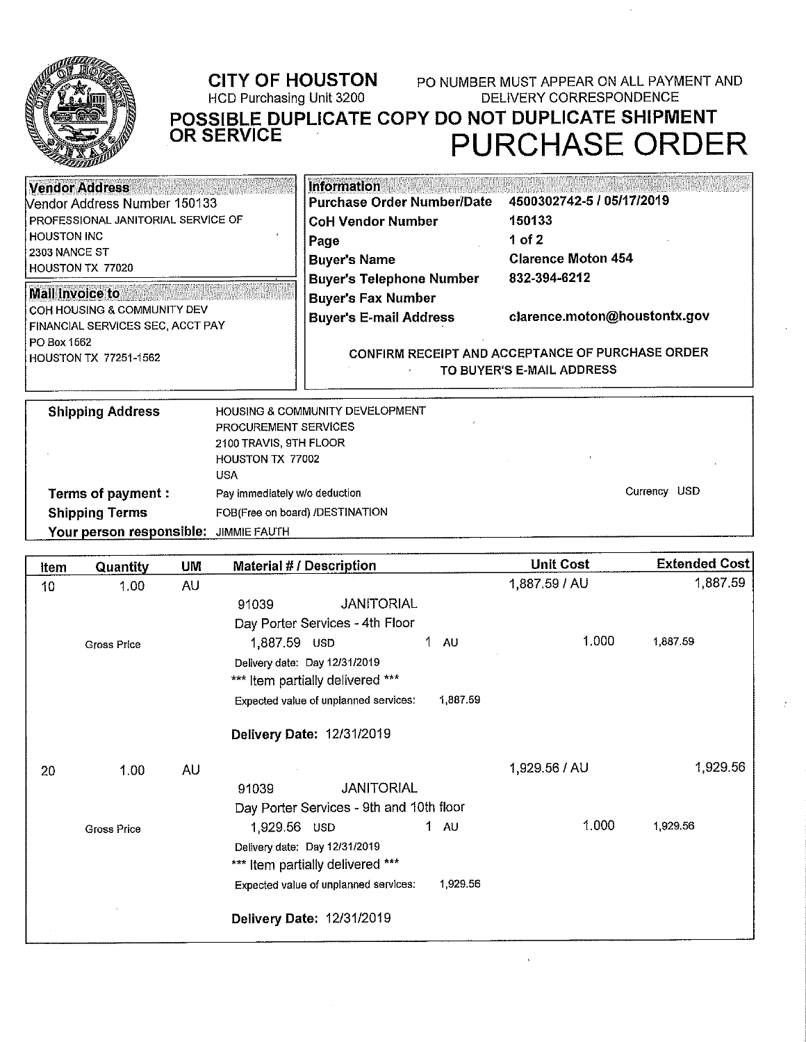

# **CITY OF HOUSTON**

HCD Purchasing Unit 3200

PO NUMBER MUST APPEAR ON ALL PAYMENT AND **DELIVERY CORRESPONDENCE** POSSIBLE DUPLICATE COPY DO NOT DUPLICATE SHIPMENT<br>OR SERVICE

PURCHASE ORDER

| <b>Vendor Address</b>                                                    | <b>Information</b>                                                            |                              |  |
|--------------------------------------------------------------------------|-------------------------------------------------------------------------------|------------------------------|--|
| <b>Nendor Address Number 150133</b>                                      | <b>Purchase Order Number/Date</b>                                             | 4500302742-5 / 05/17/2019    |  |
| <b>I PROFESSIONAL JANITORIAL SERVICE OF</b>                              | <b>CoH Vendor Number</b>                                                      | 150133                       |  |
| HOUSTON INC                                                              | Page                                                                          | 1 of 2                       |  |
| 2303 NANCE ST<br>HOUSTON TX 77020                                        | <b>Buyer's Name</b>                                                           | <b>Clarence Moton 454</b>    |  |
|                                                                          | <b>Buyer's Telephone Number</b>                                               | 832-394-6212                 |  |
| <b>Mail Invoice to</b>                                                   | <b>Buyer's Fax Number</b>                                                     |                              |  |
| Í COH HOUSING & COMMUNITY DEV<br><b>FINANCIAL SERVICES SEC, ACCT PAY</b> | <b>Buyer's E-mail Address</b>                                                 | clarence.moton@houstontx.gov |  |
| <b>PO Box 1562</b>                                                       |                                                                               |                              |  |
| HOUSTON TX 77251-1562                                                    | CONFIRM RECEIPT AND ACCEPTANCE OF PURCHASE ORDER<br>TO BUYER'S E-MAIL ADDRESS |                              |  |
|                                                                          |                                                                               |                              |  |

| <b>Shipping Address</b>               | <b>HOUSING &amp; COMMUNITY DEVELOPMENT</b> |              |  |
|---------------------------------------|--------------------------------------------|--------------|--|
|                                       | <b>PROCUREMENT SERVICES</b>                |              |  |
|                                       | 2100 TRAVIS, 9TH FLOOR                     |              |  |
|                                       | <b>HOUSTON TX 77002</b>                    |              |  |
|                                       | USA                                        |              |  |
| Terms of payment :                    | Pay immediately w/o deduction              | Currency USD |  |
| <b>Shipping Terms</b>                 | FOB(Free on board) /DESTINATION            |              |  |
| Your person responsible: JIMMIE FAUTH |                                            |              |  |

| ltem | Quantity           | <b>UM</b> | <b>Material # / Description</b>          |          | <b>Unit Cost</b> | <b>Extended Cost</b> |
|------|--------------------|-----------|------------------------------------------|----------|------------------|----------------------|
| 10   | 1.00               | AU        |                                          |          | 1,887.59 / AU    | 1,887.59             |
|      |                    |           | <b>JANITORIAL</b><br>91039               |          |                  |                      |
|      |                    |           | Day Porter Services - 4th Floor          |          |                  |                      |
|      | <b>Gross Price</b> |           | $\mathbf 1$<br>1,887.59 USD              | AU       | 1.000            | 1,887.59             |
|      |                    |           | Delivery date: Day 12/31/2019            |          |                  |                      |
|      |                    |           | *** Item partially delivered ***         |          |                  |                      |
|      |                    |           | Expected value of unplanned services:    | 1,887.59 |                  |                      |
|      |                    |           | Delivery Date: 12/31/2019                |          |                  |                      |
| 20   | 1.00 <sub>1</sub>  | <b>AU</b> |                                          |          | 1,929.56 / AU    | 1,929.56             |
|      |                    |           | <b>JANITORIAL</b><br>91039               |          |                  |                      |
|      |                    |           | Day Porter Services - 9th and 10th floor |          |                  |                      |
|      | <b>Gross Price</b> |           | 1 $AU$<br>1,929.56 USD                   |          | 1.000            | 1,929.56             |
|      |                    |           | Delivery date: Day 12/31/2019            |          |                  |                      |
|      |                    |           | *** Item partially delivered ***         |          |                  |                      |
|      |                    |           | Expected value of unplanned services:    | 1,929.56 |                  |                      |
|      |                    |           | Delivery Date: 12/31/2019                |          |                  |                      |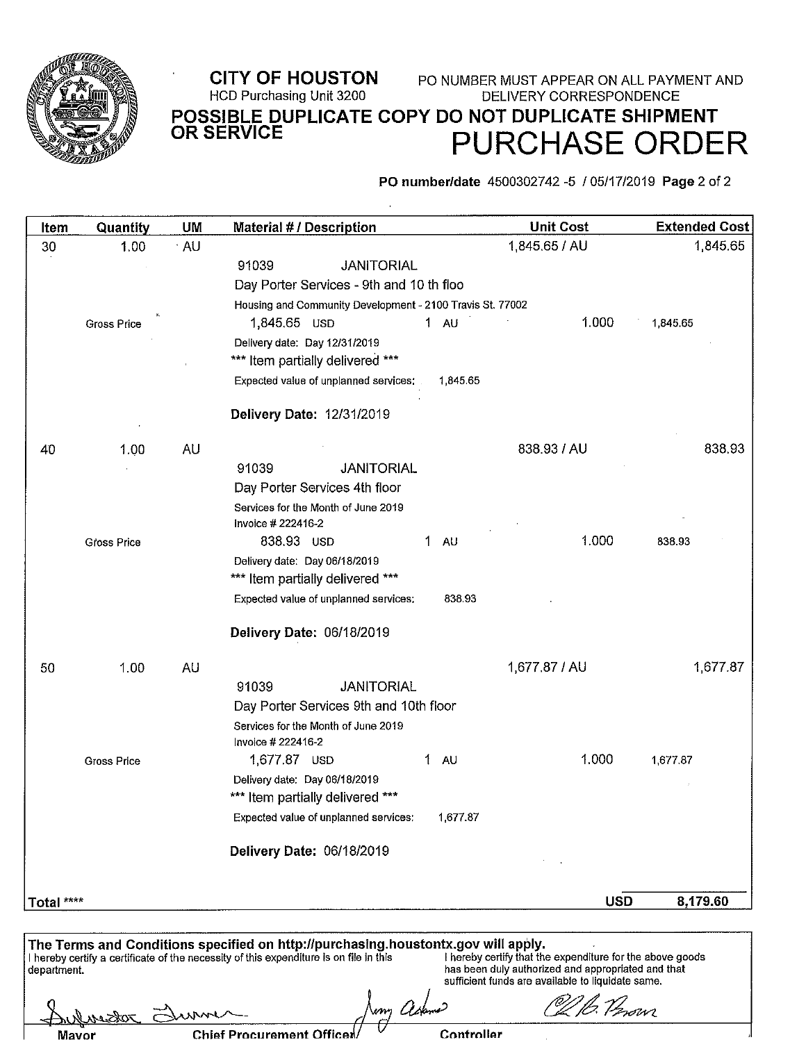

#### **CITY OF HOUSTON** PO NUMBER MUST APPEAR ON ALL PAYMENT AND HCD Purchasing Unit 3200 **DELIVERY CORRESPONDENCE** POSSIBLE DUPLICATE COPY DO NOT DUPLICATE SHIPMENT<br>OR SERVICE **PURCHASE ORDER**

PO number/date 4500302742 -5 / 05/17/2019 Page 2 of 2

| Item       | Quantity           | UM   | <b>Material # / Description</b>                                   |                     | <b>Unit Cost</b> | <b>Extended Cost</b> |
|------------|--------------------|------|-------------------------------------------------------------------|---------------------|------------------|----------------------|
| 30         | 1.00               | · AU |                                                                   |                     | 1,845.65 / AU    | 1,845.65             |
|            |                    |      | 91039<br><b>JANITORIAL</b>                                        |                     |                  |                      |
|            |                    |      | Day Porter Services - 9th and 10 th floo                          |                     |                  |                      |
|            |                    |      | Housing and Community Development - 2100 Travis St. 77002         |                     |                  |                      |
|            | <b>Gross Price</b> |      | 1,845.65 USD                                                      | $1 \quad \text{AU}$ | 1.000            | 1,845.65             |
|            |                    |      | Delivery date: Day 12/31/2019                                     |                     |                  |                      |
|            |                    |      | *** Item partially delivered ***                                  |                     |                  |                      |
|            |                    |      | Expected value of unplanned services:                             | 1,845.65            |                  |                      |
|            |                    |      | Delivery Date: 12/31/2019                                         |                     |                  |                      |
| 40         | 1.00               | AU   |                                                                   |                     | 838.93 / AU      | 838.93               |
|            |                    |      | 91039<br><b>JANITORIAL</b>                                        |                     |                  |                      |
|            |                    |      | Day Porter Services 4th floor                                     |                     |                  |                      |
|            |                    |      | Services for the Month of June 2019                               |                     |                  |                      |
|            |                    |      | Invoice # 222416-2                                                |                     |                  |                      |
|            | <b>Gross Price</b> |      | 838.93 USD                                                        | 1<br><b>AU</b>      | 1.000            | 838.93               |
|            |                    |      | Delivery date: Day 06/18/2019                                     |                     |                  |                      |
|            |                    |      | *** Item partially delivered ***                                  |                     |                  |                      |
|            |                    |      | Expected value of unplanned services:                             | 838 93              |                  |                      |
|            |                    |      | Delivery Date: 06/18/2019                                         |                     |                  |                      |
| 50         | 1.00               | AU   |                                                                   |                     | 1,677.87 / AU    | 1,677.87             |
|            |                    |      | <b>JANITORIAL</b><br>91039                                        |                     |                  |                      |
|            |                    |      | Day Porter Services 9th and 10th floor                            |                     |                  |                      |
|            |                    |      | Services for the Month of June 2019                               |                     |                  |                      |
|            |                    |      | Invoice # 222416-2                                                |                     |                  |                      |
|            | Gross Price        |      | 1,677.87 USD                                                      | 1.<br>AU            | 1.000            | 1,677.87             |
|            |                    |      | Delivery date: Day 06/18/2019<br>*** Item partially delivered *** |                     |                  |                      |
|            |                    |      | Expected value of unplanned services:                             | 1,677.87            |                  |                      |
|            |                    |      | Delivery Date: 06/18/2019                                         |                     |                  |                      |
|            |                    |      |                                                                   |                     |                  |                      |
|            |                    |      |                                                                   |                     | <b>USD</b>       | 8,179.60             |
| Total **** |                    |      |                                                                   |                     |                  |                      |
|            |                    |      |                                                                   |                     |                  |                      |

The Terms and Conditions specified on http://purchasing.houstontx.gov will apply.<br>
I hereby certify a certificate of the necessity of this expenditure is on file in this<br>
department.<br>
department.<br>
department.<br>
department. 16. Verovn m Aph <u>Lukurson</u> www

| Mavor |  |
|-------|--|
|       |  |
|       |  |

**Chief Procurement Officen/** 

Controller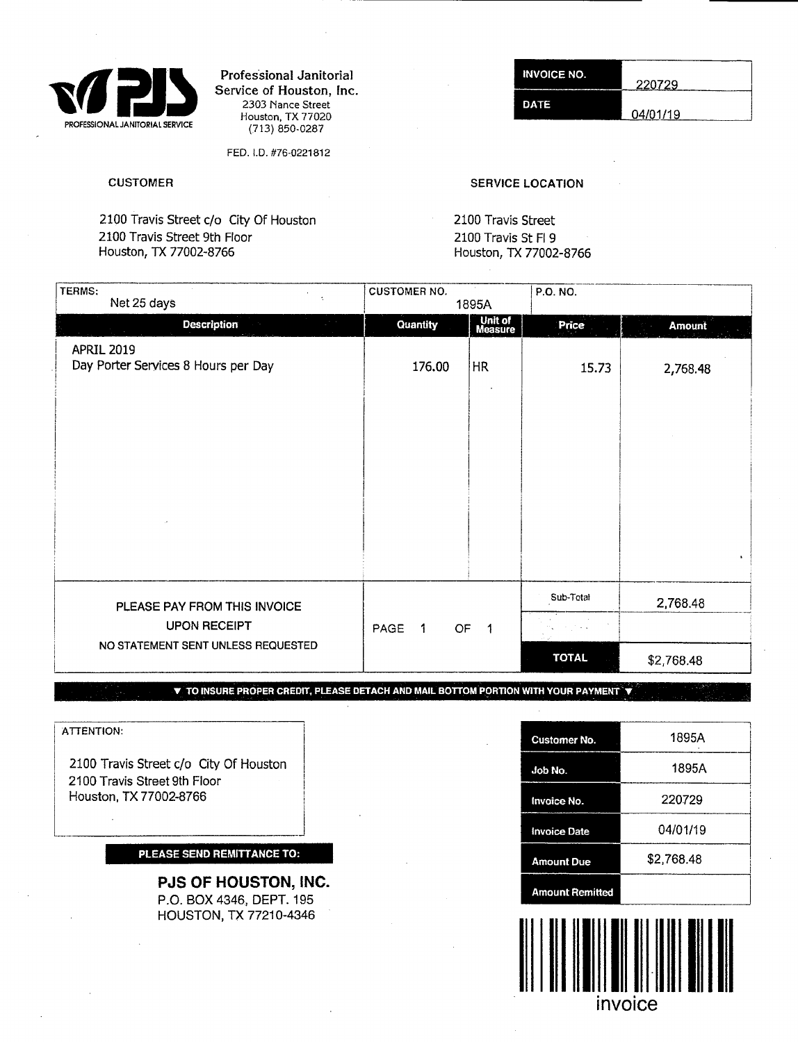

Professional Janitorial Service of Houston, Inc. 2303 Nance Street Houston, TX 77020 (713) 850-0287

FED. ID. #76-0221812

2100 Travis Street c/o City Of Houston 2100 Travis Street 2100 Travis Street 9th Floor 2100 Travis St H 9

#### **INVOICE NO.** 220729 **DATE** 04/01/19

#### CUSTOMER SERVICE LOCATION

Houston, TX 77002-8766 Houston, TX 77002-8766

| TERMS:<br>$\epsilon$<br>Net 25 days                                                       | <b>CUSTOMER NO.</b>          | 1895A                    | P.O. NO.                  |                            |
|-------------------------------------------------------------------------------------------|------------------------------|--------------------------|---------------------------|----------------------------|
| <b>Description</b><br>$\mathcal{L}^{\text{max}}$                                          | Quantity                     | Unit of<br>Measure       | Price                     | <b>Amount</b>              |
| APRIL 2019<br>Day Porter Services 8 Hours per Day                                         | 176.00                       | <b>HR</b>                | 15.73                     | 2,768.48<br>$\mathbf{A}$ . |
| PLEASE PAY FROM THIS INVOICE<br><b>UPON RECEIPT</b><br>NO STATEMENT SENT UNLESS REQUESTED | PAGE<br>OF<br>$\overline{1}$ | $\overline{\phantom{a}}$ | Sub-Total<br><b>TOTAL</b> | 2,768.48<br>\$2,768.48     |

**V TO INSURE PROPER CREDIT PLEASE DETACH AND MAIL BOTTOM PORTION WITH YOUR PAYMENT 'V** 

ATTENTION:

2100 Travis Street c/o City Of Houston 2100 Travis Street 9th Floor Houston, TX 77002-8766

#### **PLEASE SEND REMITIANCE TO:**

**PJS OF HOUSTON, INC.**  P.O. BOX 4346, DEPT. 195 HOUSTON, TX 77210-4346

| <b>Customer No.</b>    | 1895A      |
|------------------------|------------|
| Job No.                | 1895A      |
| Invoice No.            | 220729     |
| <b>Invoice Date</b>    | 04/01/19   |
| <b>Amount Due</b>      | \$2,768.48 |
| <b>Amount Remitted</b> |            |

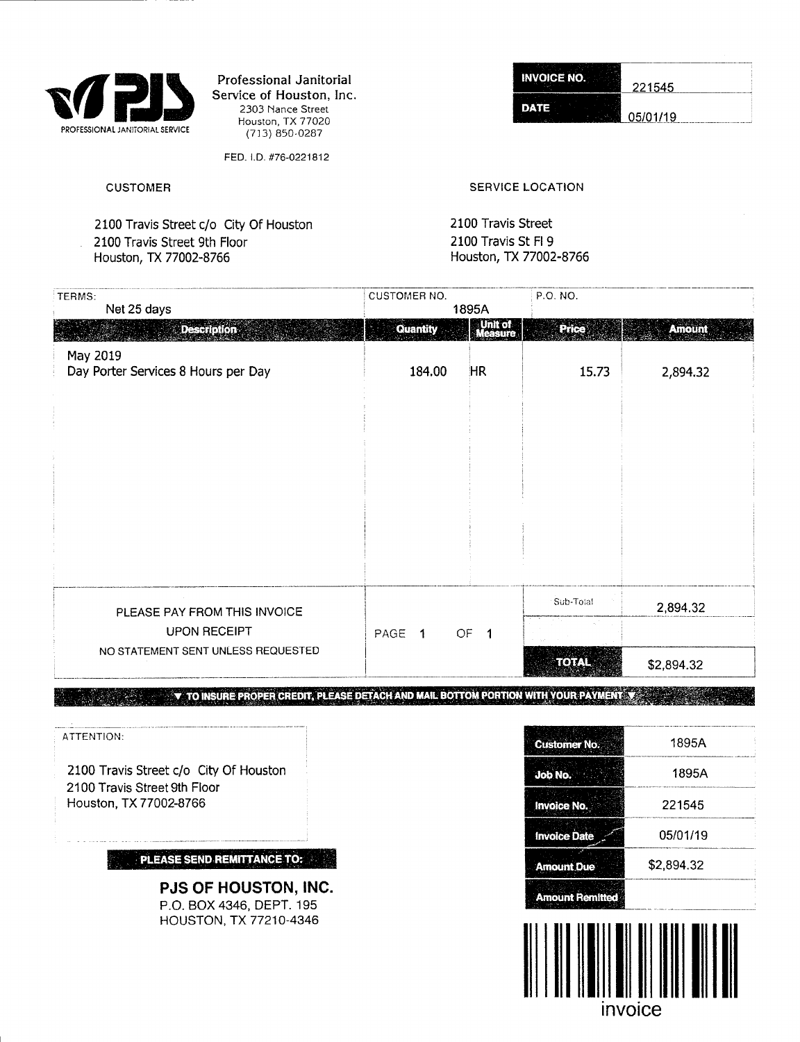

Professional Janitorial Service of Houston, Inc. 2303 Nance Street Houston, TX 77020 (713) 850-0287

FEB. ID. #76-0221812

**INVOICE NO.** 221545 **DATE** 05/01/19

#### *CUSTOMER SERVICE* LOCATION

2100 Travis Street c/o City Of Houston 2100 Travis Street 9th Floor Houston, TX 77002-8766

2100 Travis Street 2100 Travis St Fl 9 Houston, TX 77002-8766

| TERMS:                              | <b>CUSTOMER NO.</b> |                    | P.O. NO.     |               |
|-------------------------------------|---------------------|--------------------|--------------|---------------|
| Net 25 days                         |                     | 1895A              |              |               |
| <b>Description</b>                  | <b>Quantity</b>     | Unit of<br>Measure | Price        | <b>Amount</b> |
| May 2019                            |                     |                    |              |               |
| Day Porter Services 8 Hours per Day | 184.00              | <b>HR</b>          | 15.73        | 2,894.32      |
|                                     |                     |                    |              |               |
|                                     |                     |                    |              |               |
|                                     |                     |                    |              |               |
|                                     |                     |                    |              |               |
|                                     |                     |                    |              |               |
|                                     |                     |                    |              |               |
|                                     |                     |                    |              |               |
|                                     |                     |                    |              |               |
|                                     |                     |                    |              |               |
|                                     |                     |                    |              |               |
|                                     |                     |                    |              |               |
|                                     |                     |                    | Sub-Total    |               |
| PLEASE PAY FROM THIS INVOICE        |                     |                    |              | 2,894.32      |
| <b>UPON RECEIPT</b>                 | PAGE 1              | OF <sub>1</sub>    |              |               |
| NO STATEMENT SENT UNLESS REQUESTED  |                     |                    | <b>TOTAL</b> | \$2,894.32    |

**V** TO INSURE PROPER CREDIT, PLEASE DETACH AND MAIL BOTTOM PORTION WITH YOUR PAYMENT V

**PJS OF HOUSTON, INC.**  P.O. BOX 4346, DEPT. 195 HOUSTON, TX 77210-4346

| ATTENTION:                                              | <b>Customer No.</b>    | 1895A      |  |
|---------------------------------------------------------|------------------------|------------|--|
| 2100 Travis Street c/o City Of Houston                  | <b>Job No.</b>         | 1895A      |  |
| 2100 Travis Street 9th Floor<br>Houston, TX 77002-8766  | <b>Invoice No.</b>     | 221545     |  |
|                                                         | <b>Invoice Date</b>    | 05/01/19   |  |
| <b>PLEASE SEND REMITTANCE TO:</b>                       | <b>Amount Due</b>      | \$2,894.32 |  |
| <b>PJS OF HOUSTON, INC.</b><br>P.O. BOX 4346, DEPT. 195 | <b>Amount Remitted</b> |            |  |

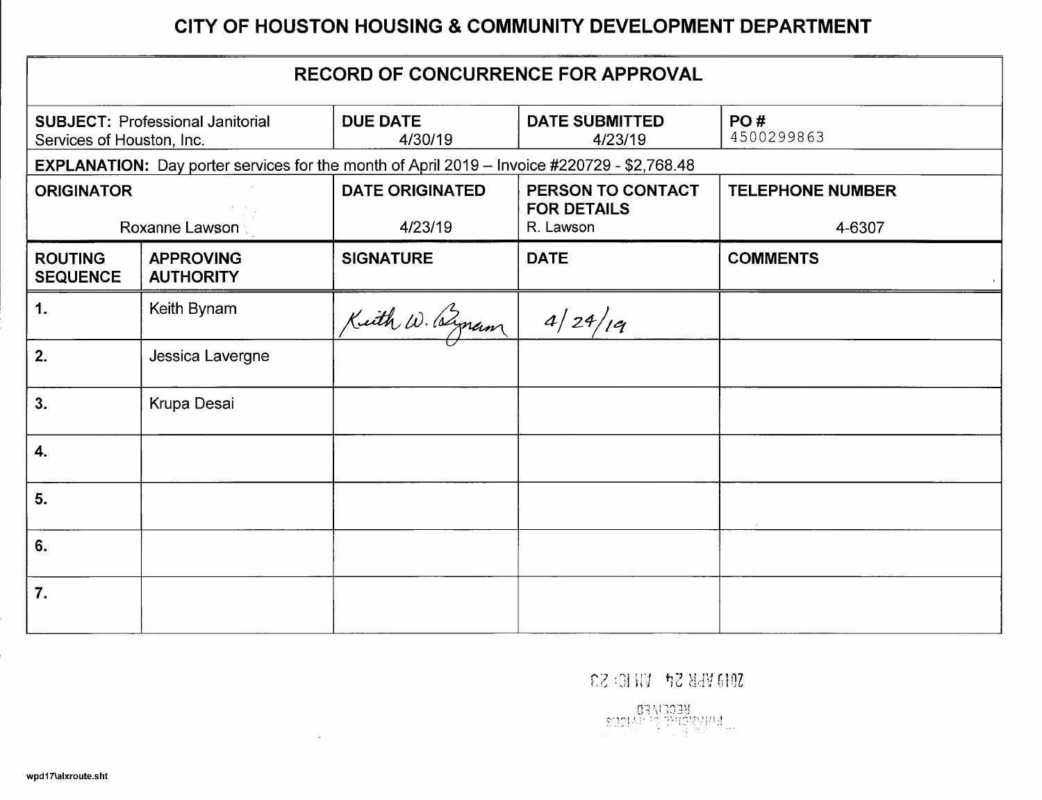# **CITY OF HOUSTON HOUSING & COMMUNITY DEVELOPMENT DEPARTMENT**

| <b>RECORD OF CONCURRENCE FOR APPROVAL</b> |                                                                                                                                                             |                        |                                         |                         |  |  |  |
|-------------------------------------------|-------------------------------------------------------------------------------------------------------------------------------------------------------------|------------------------|-----------------------------------------|-------------------------|--|--|--|
|                                           | <b>DUE DATE</b><br><b>DATE SUBMITTED</b><br>PO#<br><b>SUBJECT: Professional Janitorial</b><br>4500299863<br>4/30/19<br>4/23/19<br>Services of Houston, Inc. |                        |                                         |                         |  |  |  |
|                                           | <b>EXPLANATION:</b> Day porter services for the month of April 2019 - Invoice #220729 - \$2,768.48                                                          |                        |                                         |                         |  |  |  |
| <b>ORIGINATOR</b>                         |                                                                                                                                                             | <b>DATE ORIGINATED</b> | PERSON TO CONTACT<br><b>FOR DETAILS</b> | <b>TELEPHONE NUMBER</b> |  |  |  |
|                                           | <b>Roxanne Lawson</b>                                                                                                                                       | 4/23/19                | R. Lawson                               | 4-6307                  |  |  |  |
| <b>ROUTING</b><br><b>SEQUENCE</b>         | <b>APPROVING</b><br><b>AUTHORITY</b>                                                                                                                        | <b>SIGNATURE</b>       | <b>DATE</b>                             | <b>COMMENTS</b>         |  |  |  |
| 1.                                        | Keith Bynam                                                                                                                                                 | Kith W. Byram          | 4/24/19                                 |                         |  |  |  |
| 2.                                        | Jessica Lavergne                                                                                                                                            |                        |                                         |                         |  |  |  |
| 3.                                        | Krupa Desai                                                                                                                                                 |                        |                                         |                         |  |  |  |
| 4.                                        |                                                                                                                                                             |                        |                                         |                         |  |  |  |
| 5.                                        |                                                                                                                                                             |                        |                                         |                         |  |  |  |
| 6.                                        |                                                                                                                                                             |                        |                                         |                         |  |  |  |
| 7.                                        |                                                                                                                                                             |                        |                                         |                         |  |  |  |

 $0.13$  WHS SP VIIID: S3

 $\sim 10^{-1}$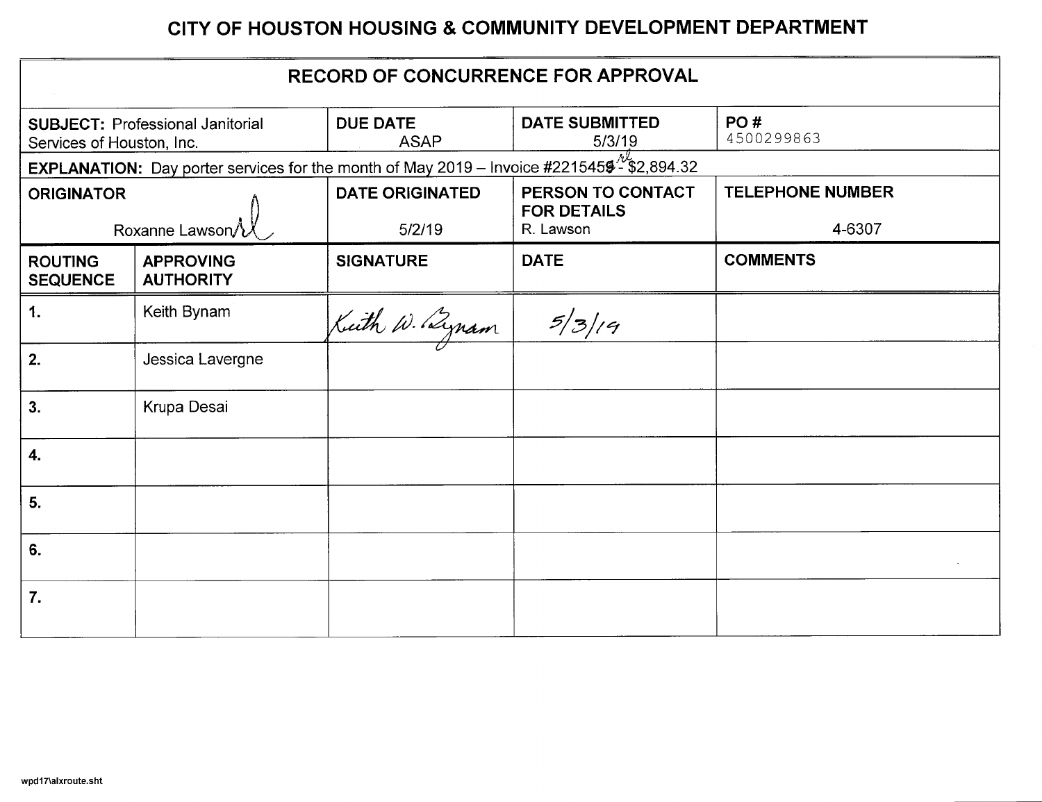# **CITY OF HOUSTON HOUSING & COMMUNITY DEVELOPMENT DEPARTMENT**

| <b>RECORD OF CONCURRENCE FOR APPROVAL</b> |                                                                                                              |                                |                                 |                         |  |  |
|-------------------------------------------|--------------------------------------------------------------------------------------------------------------|--------------------------------|---------------------------------|-------------------------|--|--|
| Services of Houston, Inc.                 | <b>SUBJECT: Professional Janitorial</b>                                                                      | <b>DUE DATE</b><br><b>ASAP</b> | <b>DATE SUBMITTED</b><br>5/3/19 | PO#<br>4500299863       |  |  |
|                                           | <b>EXPLANATION:</b> Day porter services for the month of May 2019 – Invoice #2215459 <sup>%</sup> \$2,894.32 |                                |                                 |                         |  |  |
| <b>ORIGINATOR</b>                         |                                                                                                              | <b>DATE ORIGINATED</b>         | PERSON TO CONTACT               | <b>TELEPHONE NUMBER</b> |  |  |
|                                           | Roxanne Lawson                                                                                               | 5/2/19                         | <b>FOR DETAILS</b><br>R. Lawson | 4-6307                  |  |  |
| <b>ROUTING</b><br><b>SEQUENCE</b>         | <b>APPROVING</b><br><b>AUTHORITY</b>                                                                         | <b>SIGNATURE</b>               | <b>DATE</b>                     | <b>COMMENTS</b>         |  |  |
| 1.                                        | Keith Bynam                                                                                                  | Kuth W. Bynam                  | 5/3/19                          |                         |  |  |
| 2.                                        | Jessica Lavergne                                                                                             |                                |                                 |                         |  |  |
| 3.                                        | Krupa Desai                                                                                                  |                                |                                 |                         |  |  |
| 4.                                        |                                                                                                              |                                |                                 |                         |  |  |
| 5.                                        |                                                                                                              |                                |                                 |                         |  |  |
| 6.                                        |                                                                                                              |                                |                                 |                         |  |  |
| 7.                                        |                                                                                                              |                                |                                 |                         |  |  |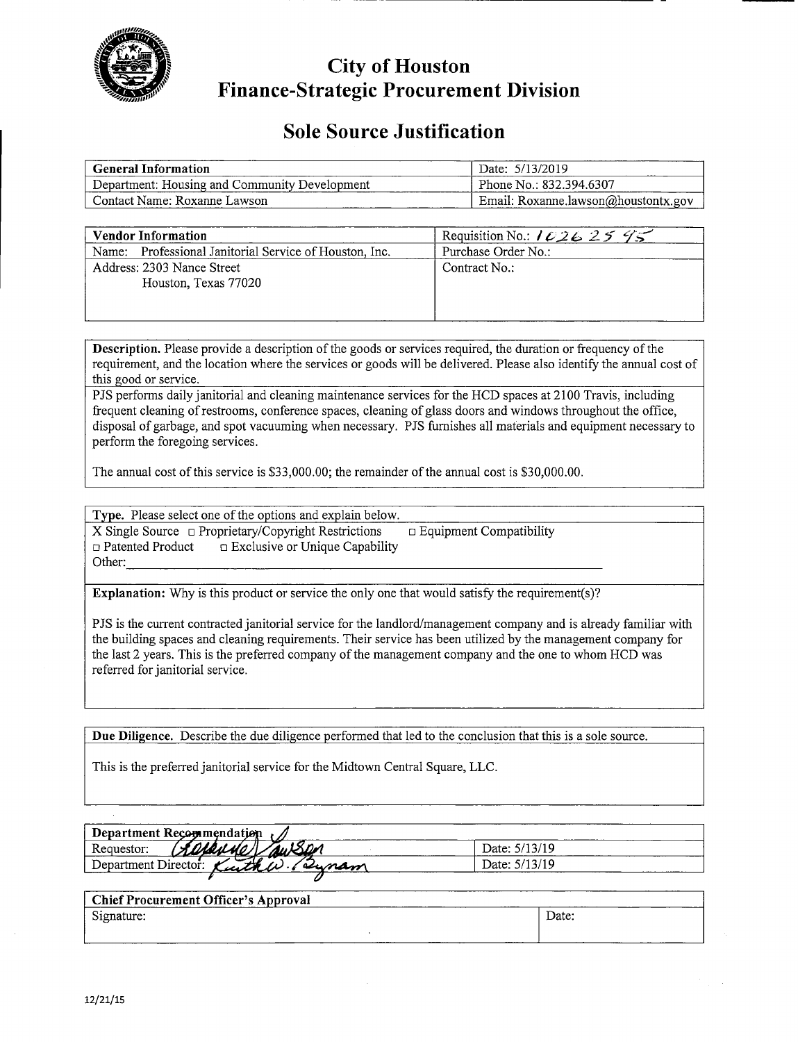

**City of Houston Finance-Strategic Procurement Division** 

# **Sole Source Justification**

| <b>General Information</b>                    | Date: 5/13/2019                     |
|-----------------------------------------------|-------------------------------------|
| Department: Housing and Community Development | Phone No.: 832.394.6307             |
| Contact Name: Roxanne Lawson                  | Email: Roxanne.lawson@houstontx.gov |

| <b>Vendor Information</b>                              | Requisition No.: $10262595$ |
|--------------------------------------------------------|-----------------------------|
| Name: Professional Janitorial Service of Houston, Inc. | Purchase Order No.:         |
| Address: 2303 Nance Street<br>Houston, Texas 77020     | Contract No.:               |

Description. Please provide a description of the goods or services required, the duration or frequency of the requirement, and the location where the services or goods will be delivered. Please also identify the annual cost of this good or service.

PJS performs daily janitorial and cleaning maintenance services for the HCD spaces at 2100 Travis, including frequent cleaning of restrooms, conference spaces, cleaning of glass doors and windows throughout the office, disposal of garbage, and spot vacuuming when necessary. PJS furnishes all materials and equipment necessary to perform the foregoing services.

The annual cost of this service is \$33,000.00; the remainder of the annual cost is \$30,000.00.

Type. Please select one of the options and explain below. X Single Source  $\Box$  Proprietary/Copyright Restrictions  $\Box$  Equipment Compatibility  $\Box$  Patented Product  $\Box$  Exclusive or Unique Capability Other:

**Explanation:** Why is this product or service the only one that would satisfy the requirement(s)?

PJS is the current contracted janitorial service for the landlord/management company and is already familiar with the building spaces and cleaning requirements. Their service has been utilized by the management company for the last 2 years. This is the preferred company of the management company and the one to whom HCD was referred for janitorial service.

**Due Diligence.** Describe the due diligence performed that led to the conclusion that this is a sole source.

This is the preferred janitorial service for the Midtown Central Square, LLC.

| Department Recommendation            |               |  |  |  |  |
|--------------------------------------|---------------|--|--|--|--|
| Requestor:                           | Date: 5/13/19 |  |  |  |  |
| Department Director:<br>Kuthe Plynam | Date: 5/13/19 |  |  |  |  |
|                                      |               |  |  |  |  |

| <b>Chief Procurement Officer's Approval</b> |       |
|---------------------------------------------|-------|
| Signature:                                  | Date: |
|                                             |       |

 $\bar{\omega}$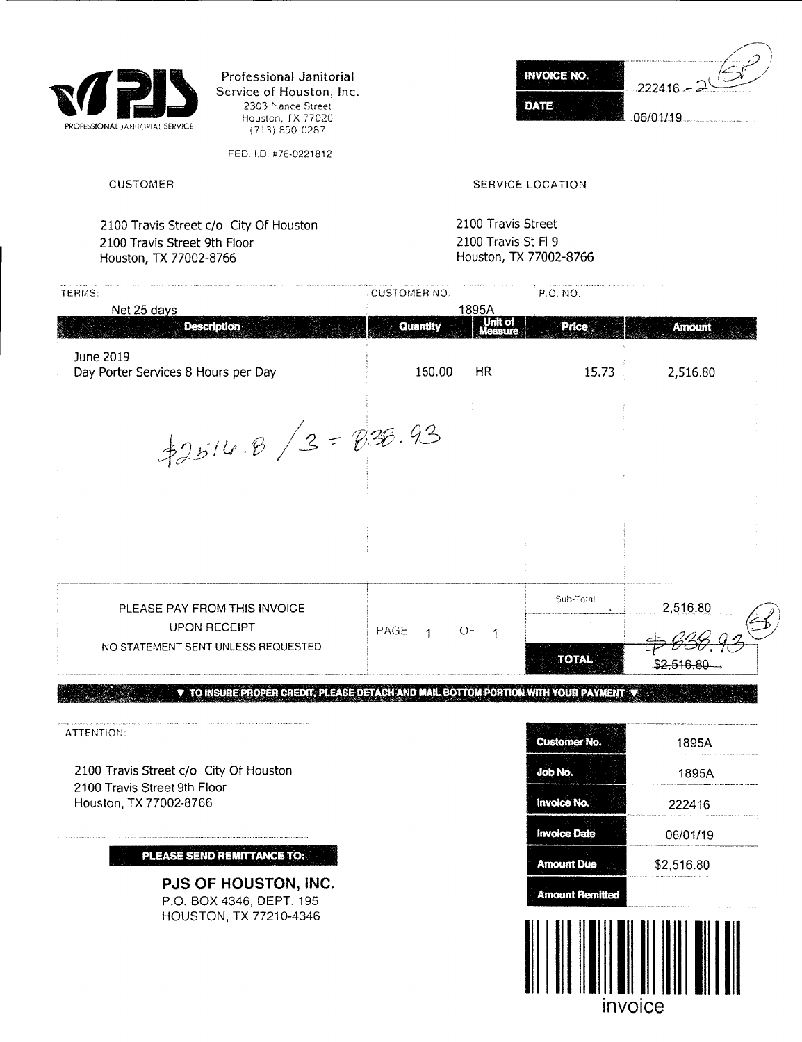

Professional Janitorial Service of Houston, Inc. 2303 Nance Street Houston, TX 77020 (7t3) 850-0287

FED. I.D. #76-0221812

**INVOICE NO.**  $.222416 -$ **DATE** 06/01/19

CUSTOMER CUSTOM ERIC CONTROL CUSTOM ERIC CONTROL SERVICE LOCATION

2100 Travis Street c/o City Of Houston 2100 Travis Street 9th Floor Houston, TX 77002-8766

2100 Travis Street 2100 Travis St Fl 9 Houston, TX 77002-8766

| <b>CUSTOMER NO.</b>  |                           | P.O. NO.                      |                    |
|----------------------|---------------------------|-------------------------------|--------------------|
| Quantity             | Unit of<br><b>MASSITS</b> | <b>Price</b>                  | <b>Amount</b>      |
| 160.00               | HR.                       | 15.73                         | 2,516.80           |
| $42514.8/3 = 838.93$ |                           |                               |                    |
|                      |                           |                               |                    |
|                      |                           |                               |                    |
|                      |                           | Sub-Total                     | 2,516.80           |
|                      |                           | <b>TOTAL</b>                  | <u>\$2.516.80 </u> |
|                      | PAGE                      | 1895A<br>OF<br>$\overline{1}$ |                    |

ATTENTION:

2100 Travis Street c/o City Of Houston 2100 Travis Street 9th Floor Houston, TX 77002-8766

**PLEASE SEND REMITTANCE TO:** 

**PJS OF HOUSTON, INC.**  P.O. BOX 4346, DEPT. 195 HOUSTON, TX 77210-4346

| <b>Customer No.</b>    | 1895A              |  |  |
|------------------------|--------------------|--|--|
| Job No.                | 1895A              |  |  |
| <b>Invoice No.</b>     | 222416<br>06/01/19 |  |  |
| <b>Invoice Date</b>    |                    |  |  |
| <b>Amount Due</b>      | \$2,516.80         |  |  |
| <b>Amount Remitted</b> |                    |  |  |

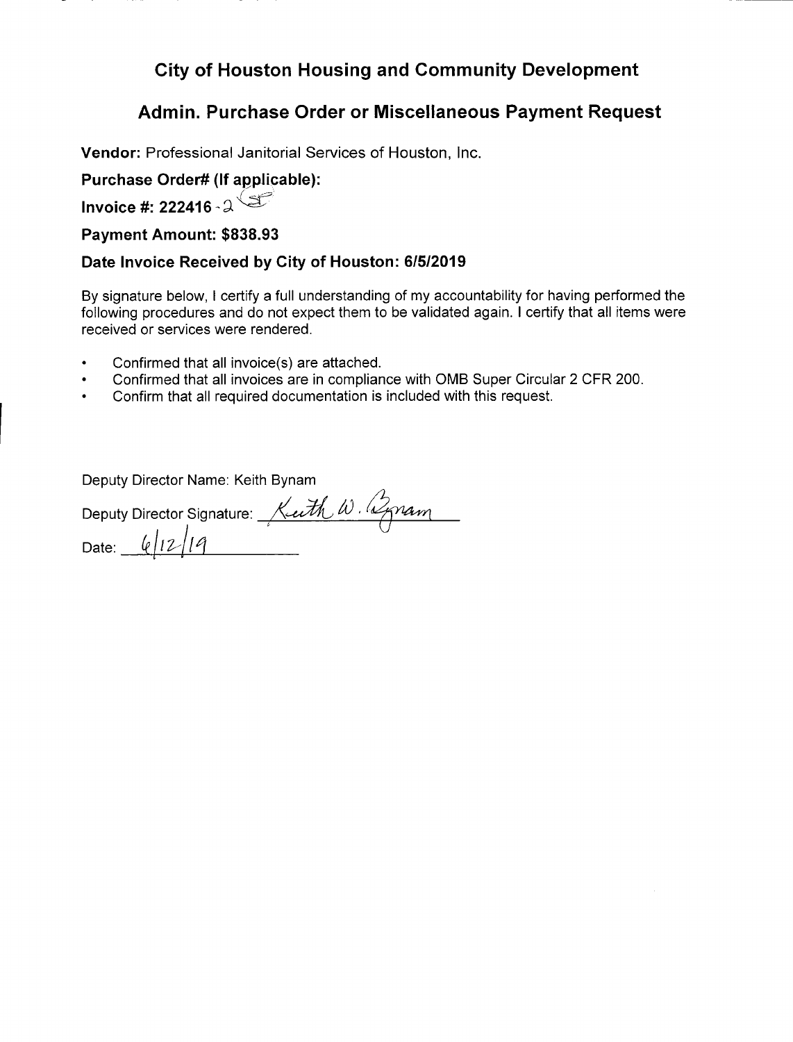# **City of Houston Housing and Community Development**

## **Admin. Purchase Order or Miscellaneous Payment Request**

**Vendor:** Professional Janitorial Services of Houston, Inc.

## **Purchase Order# (If applicable):**

**Invoice** #: **222416'** 

### **Payment Amount: \$838.93**

### **Date Invoice Received by City of Houston: 6/5/2019**

By signature below, I certify a full understanding of my accountability for having performed the following procedures and do not expect them to be validated again. I certify that all items were received or services were rendered.

- Confirmed that all invoice(s) are attached.
- Confirmed that all invoices are in compliance with 0MB Super Circular 2 CFR 200.
- Confirm that all required documentation is included with this request.

Deputy Director Name: Keith Bynam

|                 | Deputy Director Signature: Keeth W. 2pram |
|-----------------|-------------------------------------------|
|                 |                                           |
| Date: $6/12/19$ |                                           |